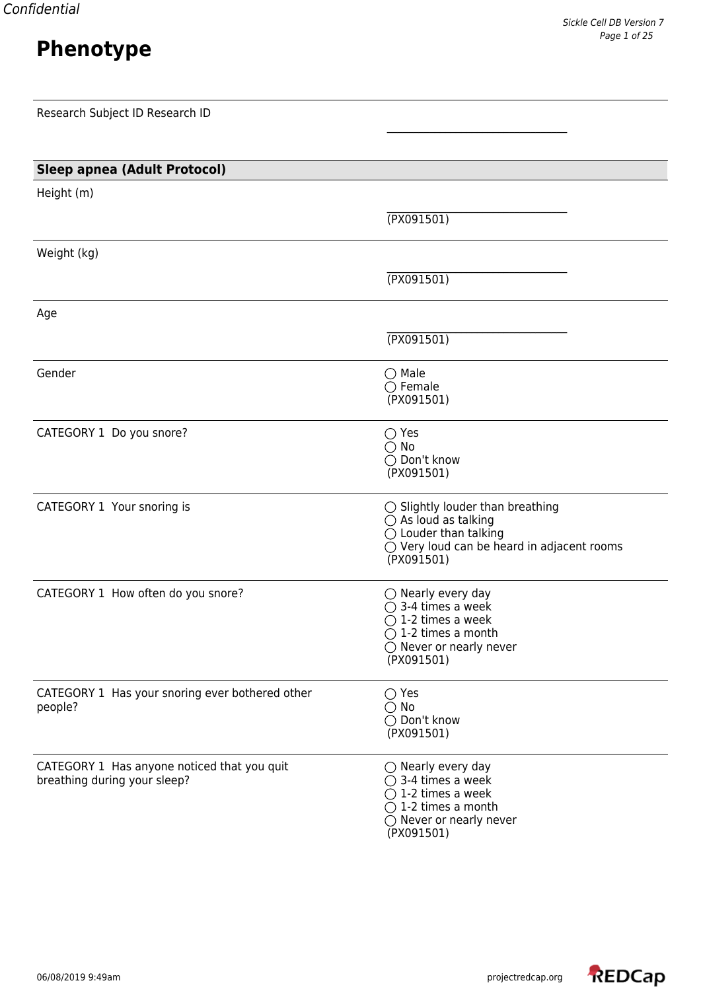|  | _ |  |
|--|---|--|
|  | - |  |

| Research Subject ID Research ID                                             |                                                                                                                                                                             |
|-----------------------------------------------------------------------------|-----------------------------------------------------------------------------------------------------------------------------------------------------------------------------|
|                                                                             |                                                                                                                                                                             |
| <b>Sleep apnea (Adult Protocol)</b>                                         |                                                                                                                                                                             |
| Height (m)                                                                  |                                                                                                                                                                             |
|                                                                             | (TX091501)                                                                                                                                                                  |
| Weight (kg)                                                                 |                                                                                                                                                                             |
|                                                                             | (TX091501)                                                                                                                                                                  |
| Age                                                                         |                                                                                                                                                                             |
|                                                                             | (TX091501)                                                                                                                                                                  |
| Gender                                                                      | $\bigcirc$ Male<br>$\bigcirc$ Female<br>(PX091501)                                                                                                                          |
| CATEGORY 1 Do you snore?                                                    | $\bigcirc$ Yes<br>$\bigcirc$ No<br>◯ Don't know<br>(PX091501)                                                                                                               |
| CATEGORY 1 Your snoring is                                                  | $\bigcirc$ Slightly louder than breathing<br>$\bigcirc$ As loud as talking<br>$\bigcirc$ Louder than talking<br>○ Very loud can be heard in adjacent rooms<br>(PX091501)    |
| CATEGORY 1 How often do you snore?                                          | $\bigcirc$ Nearly every day<br>$\bigcirc$ 3-4 times a week<br>$\bigcirc$ 1-2 times a week<br>$\bigcirc$ 1-2 times a month<br>$\bigcirc$ Never or nearly never<br>(PX091501) |
| CATEGORY 1 Has your snoring ever bothered other<br>people?                  | $\bigcirc$ Yes<br>$\bigcirc$ No<br>◯ Don't know<br>(PX091501)                                                                                                               |
| CATEGORY 1 Has anyone noticed that you quit<br>breathing during your sleep? | $\bigcirc$ Nearly every day<br>$\bigcirc$ 3-4 times a week<br>$\bigcirc$ 1-2 times a week<br>$\bigcirc$ 1-2 times a month<br>Never or nearly never                          |

(PX091501)

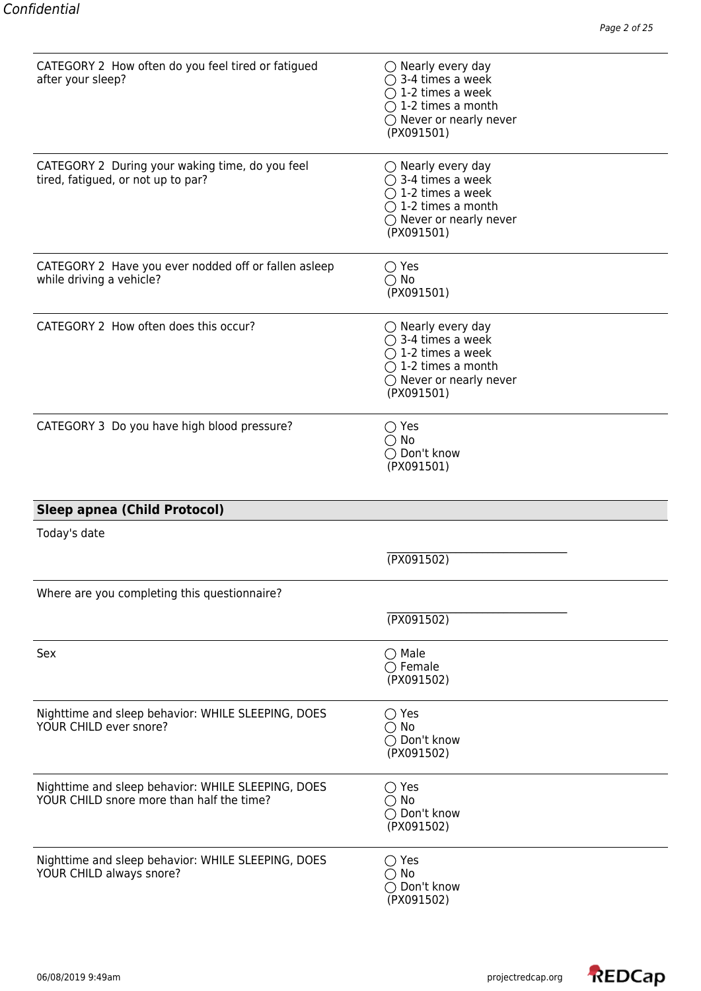| CATEGORY 2 How often do you feel tired or fatigued<br>after your sleep?                         | $\bigcirc$ Nearly every day<br>$\bigcirc$ 3-4 times a week<br>$\bigcirc$ 1-2 times a week<br>$\bigcirc$ 1-2 times a month<br>$\bigcirc$ Never or nearly never<br>(PX091501) |
|-------------------------------------------------------------------------------------------------|-----------------------------------------------------------------------------------------------------------------------------------------------------------------------------|
| CATEGORY 2 During your waking time, do you feel<br>tired, fatigued, or not up to par?           | $\bigcirc$ Nearly every day<br>$\bigcirc$ 3-4 times a week<br>$\bigcirc$ 1-2 times a week<br>$\bigcirc$ 1-2 times a month<br>$\bigcirc$ Never or nearly never<br>(PX091501) |
| CATEGORY 2 Have you ever nodded off or fallen asleep<br>while driving a vehicle?                | $\bigcirc$ Yes<br>$\bigcirc$ No<br>(PX091501)                                                                                                                               |
| CATEGORY 2 How often does this occur?                                                           | $\bigcirc$ Nearly every day<br>$\bigcirc$ 3-4 times a week<br>$\bigcirc$ 1-2 times a week<br>$\bigcirc$ 1-2 times a month<br>$\bigcirc$ Never or nearly never<br>(PX091501) |
| CATEGORY 3 Do you have high blood pressure?                                                     | $\bigcirc$ Yes<br>$\bigcirc$ No<br>◯ Don't know<br>(PX091501)                                                                                                               |
| <b>Sleep apnea (Child Protocol)</b>                                                             |                                                                                                                                                                             |
| Today's date                                                                                    |                                                                                                                                                                             |
|                                                                                                 | (PX091502)                                                                                                                                                                  |
| Where are you completing this questionnaire?                                                    |                                                                                                                                                                             |
|                                                                                                 | (PX091502)                                                                                                                                                                  |
| Sex                                                                                             | $\bigcirc$ Male<br>$\bigcirc$ Female<br>(PX091502)                                                                                                                          |
| Nighttime and sleep behavior: WHILE SLEEPING, DOES<br>YOUR CHILD ever snore?                    | $\bigcirc$ Yes<br>$\bigcirc$ No<br>◯ Don't know<br>(PX091502)                                                                                                               |
| Nighttime and sleep behavior: WHILE SLEEPING, DOES<br>YOUR CHILD snore more than half the time? | $\bigcirc$ Yes<br>$\bigcirc$ No<br>◯ Don't know<br>(PX091502)                                                                                                               |
| Nighttime and sleep behavior: WHILE SLEEPING, DOES<br>YOUR CHILD always snore?                  | $\bigcirc$ Yes<br>$\bigcirc$ No<br>◯ Don't know                                                                                                                             |

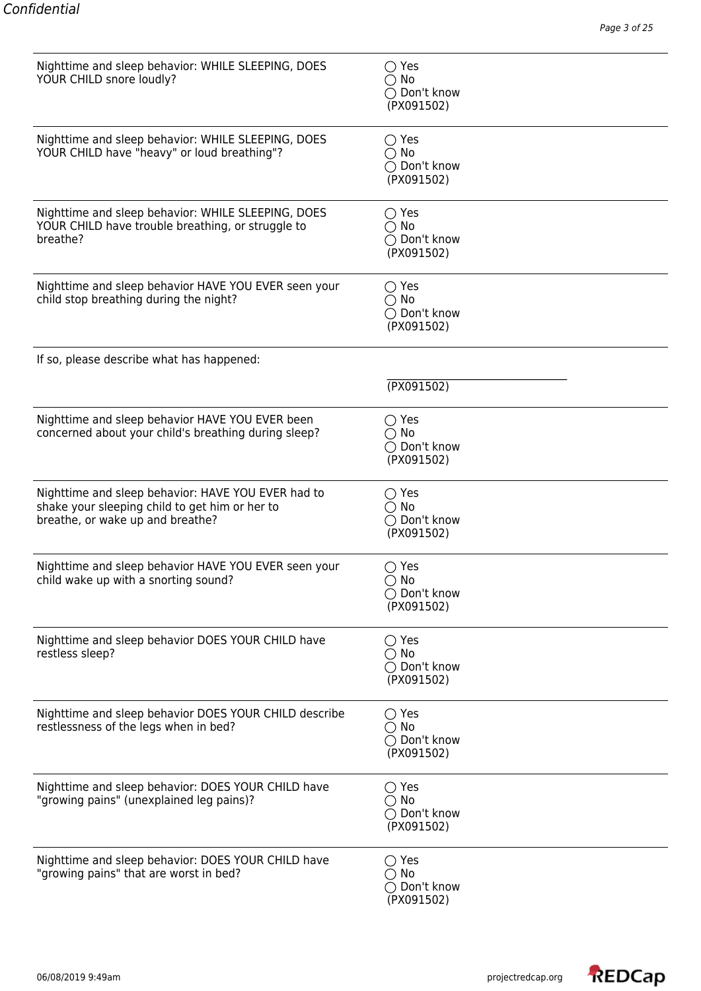| Nighttime and sleep behavior: WHILE SLEEPING, DOES<br>YOUR CHILD snore loudly?                                                           | $\bigcirc$ Yes<br>$\bigcirc$ No<br>◯ Don't know<br>(PX091502)          |
|------------------------------------------------------------------------------------------------------------------------------------------|------------------------------------------------------------------------|
| Nighttime and sleep behavior: WHILE SLEEPING, DOES<br>YOUR CHILD have "heavy" or loud breathing"?                                        | $\bigcirc$ Yes<br>$\bigcirc$ No<br>◯ Don't know<br>(PX091502)          |
| Nighttime and sleep behavior: WHILE SLEEPING, DOES<br>YOUR CHILD have trouble breathing, or struggle to<br>breathe?                      | $\bigcirc$ Yes<br>$\bigcirc$ No<br>◯ Don't know<br>(PX091502)          |
| Nighttime and sleep behavior HAVE YOU EVER seen your<br>child stop breathing during the night?                                           | $\bigcirc$ Yes<br>$\bigcap$ No<br>◯ Don't know<br>(PX091502)           |
| If so, please describe what has happened:                                                                                                |                                                                        |
|                                                                                                                                          | (TX091502)                                                             |
| Nighttime and sleep behavior HAVE YOU EVER been<br>concerned about your child's breathing during sleep?                                  | $\bigcirc$ Yes<br>$\bigcirc$ No<br>◯ Don't know<br>(PX091502)          |
| Nighttime and sleep behavior: HAVE YOU EVER had to<br>shake your sleeping child to get him or her to<br>breathe, or wake up and breathe? | $\bigcirc$ Yes<br>$\bigcirc$ No<br>◯ Don't know<br>(PX091502)          |
| Nighttime and sleep behavior HAVE YOU EVER seen your<br>child wake up with a snorting sound?                                             | $\bigcirc$ Yes<br>$\bigcirc$ No<br>◯ Don't know<br>(PX091502)          |
| Nighttime and sleep behavior DOES YOUR CHILD have<br>restless sleep?                                                                     | $\bigcirc$ Yes<br>$\bigcirc$ No<br>◯ Don't know<br>(PX091502)          |
| Nighttime and sleep behavior DOES YOUR CHILD describe<br>restlessness of the legs when in bed?                                           | $\bigcirc$ Yes<br>$\bigcirc$ No<br>◯ Don't know<br>(PX091502)          |
| Nighttime and sleep behavior: DOES YOUR CHILD have<br>"growing pains" (unexplained leg pains)?                                           | $\bigcirc$ Yes<br>$\bigcirc$ No<br>$\bigcirc$ Don't know<br>(PX091502) |
| Nighttime and sleep behavior: DOES YOUR CHILD have<br>"growing pains" that are worst in bed?                                             | $\bigcirc$ Yes<br>$\bigcirc$ No<br>◯ Don't know<br>(PX091502)          |

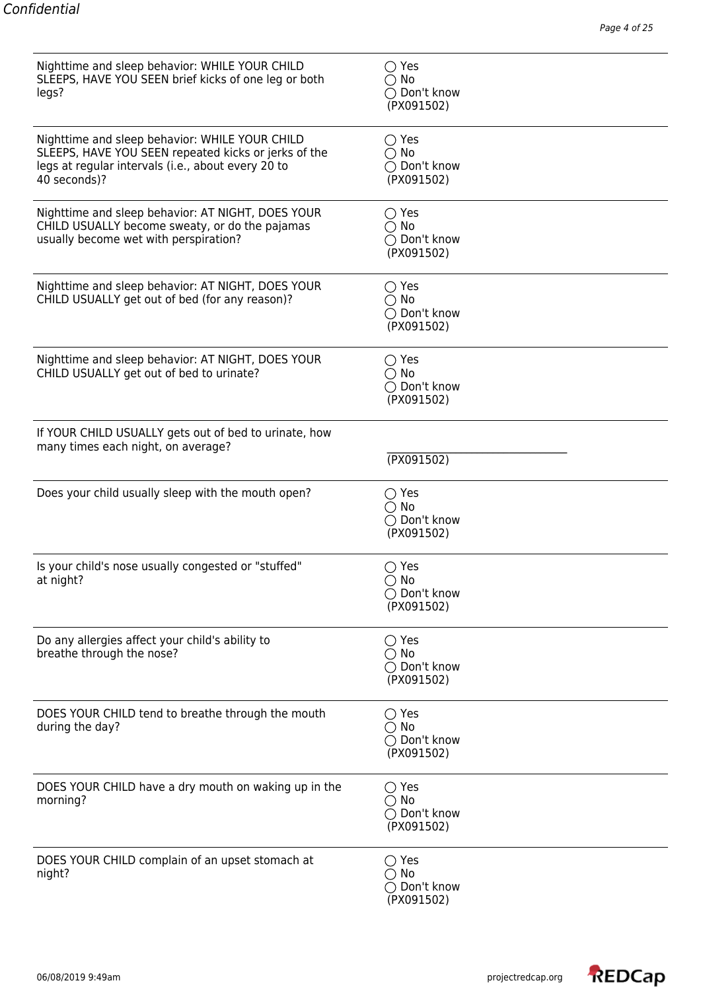| Nighttime and sleep behavior: WHILE YOUR CHILD<br>SLEEPS, HAVE YOU SEEN brief kicks of one leg or both<br>legs?                                                              | $\bigcirc$ Yes<br>$\bigcirc$ No<br>◯ Don't know<br>(PX091502)          |
|------------------------------------------------------------------------------------------------------------------------------------------------------------------------------|------------------------------------------------------------------------|
| Nighttime and sleep behavior: WHILE YOUR CHILD<br>SLEEPS, HAVE YOU SEEN repeated kicks or jerks of the<br>legs at regular intervals (i.e., about every 20 to<br>40 seconds)? | $\bigcirc$ Yes<br>$\bigcirc$ No<br>◯ Don't know<br>(PX091502)          |
| Nighttime and sleep behavior: AT NIGHT, DOES YOUR<br>CHILD USUALLY become sweaty, or do the pajamas<br>usually become wet with perspiration?                                 | $\bigcirc$ Yes<br>$\bigcirc$ No<br>◯ Don't know<br>(PX091502)          |
| Nighttime and sleep behavior: AT NIGHT, DOES YOUR<br>CHILD USUALLY get out of bed (for any reason)?                                                                          | $\bigcirc$ Yes<br>$\bigcirc$ No<br>◯ Don't know<br>(PX091502)          |
| Nighttime and sleep behavior: AT NIGHT, DOES YOUR<br>CHILD USUALLY get out of bed to urinate?                                                                                | $\bigcirc$ Yes<br>$\bigcirc$ No<br>◯ Don't know<br>(PX091502)          |
| If YOUR CHILD USUALLY gets out of bed to urinate, how<br>many times each night, on average?                                                                                  | (TX091502)                                                             |
| Does your child usually sleep with the mouth open?                                                                                                                           | $\bigcirc$ Yes<br>$\bigcirc$ No<br>◯ Don't know<br>(PX091502)          |
| Is your child's nose usually congested or "stuffed"<br>at night?                                                                                                             | $\bigcirc$ Yes<br>$\bigcirc$ No<br>◯ Don't know<br>(PX091502)          |
| Do any allergies affect your child's ability to<br>breathe through the nose?                                                                                                 | $\bigcirc$ Yes<br>$\bigcirc$ No<br>$\bigcirc$ Don't know<br>(PX091502) |
| DOES YOUR CHILD tend to breathe through the mouth<br>during the day?                                                                                                         | $\bigcirc$ Yes<br>$\bigcirc$ No<br>◯ Don't know<br>(PX091502)          |
| DOES YOUR CHILD have a dry mouth on waking up in the<br>morning?                                                                                                             | $\bigcirc$ Yes<br>$\bigcirc$ No<br>◯ Don't know<br>(PX091502)          |
| DOES YOUR CHILD complain of an upset stomach at<br>night?                                                                                                                    | $\bigcirc$ Yes<br>$\bigcirc$ No<br>◯ Don't know<br>(PX091502)          |

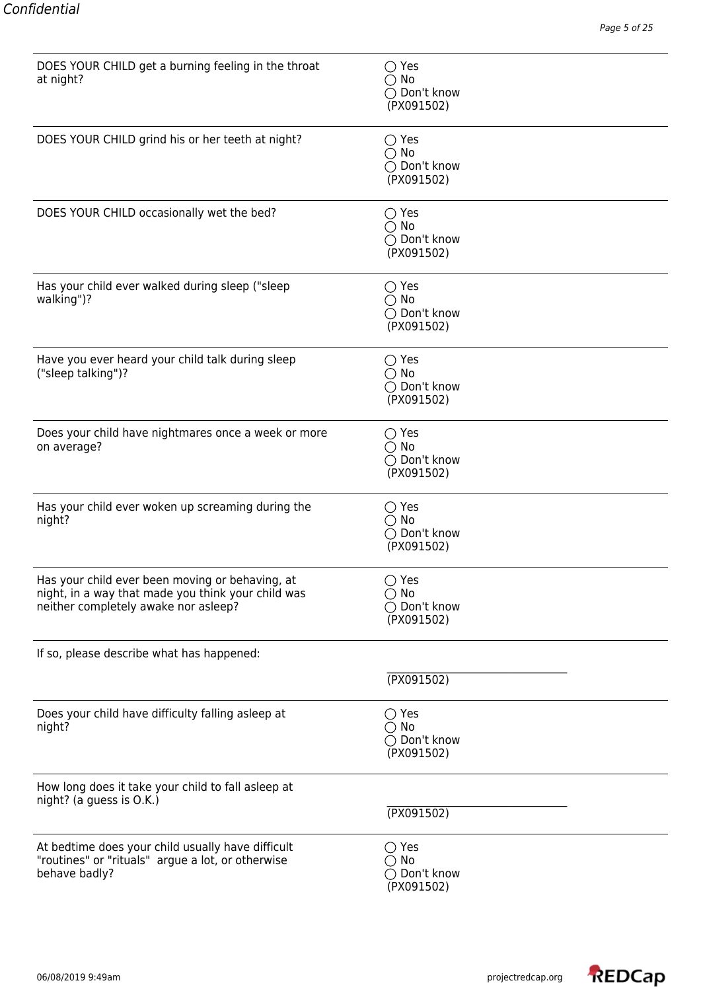| DOES YOUR CHILD get a burning feeling in the throat<br>at night?                                                                              | $\bigcirc$ Yes<br>$\bigcirc$ No<br>◯ Don't know<br>(PX091502) |
|-----------------------------------------------------------------------------------------------------------------------------------------------|---------------------------------------------------------------|
| DOES YOUR CHILD grind his or her teeth at night?                                                                                              | $\bigcirc$ Yes<br>$\bigcirc$ No<br>◯ Don't know<br>(PX091502) |
| DOES YOUR CHILD occasionally wet the bed?                                                                                                     | $\bigcirc$ Yes<br>$\bigcirc$ No<br>◯ Don't know<br>(PX091502) |
| Has your child ever walked during sleep ("sleep<br>walking")?                                                                                 | $\bigcirc$ Yes<br>$\bigcirc$ No<br>◯ Don't know<br>(PX091502) |
| Have you ever heard your child talk during sleep<br>("sleep talking")?                                                                        | $\bigcirc$ Yes<br>$\bigcirc$ No<br>◯ Don't know<br>(PX091502) |
| Does your child have nightmares once a week or more<br>on average?                                                                            | $\bigcirc$ Yes<br>$\bigcirc$ No<br>◯ Don't know<br>(PX091502) |
| Has your child ever woken up screaming during the<br>night?                                                                                   | $\bigcirc$ Yes<br>$\bigcirc$ No<br>◯ Don't know<br>(PX091502) |
| Has your child ever been moving or behaving, at<br>night, in a way that made you think your child was<br>neither completely awake nor asleep? | $\bigcirc$ Yes<br>$\bigcirc$ No<br>◯ Don't know<br>(PX091502) |
| If so, please describe what has happened:                                                                                                     |                                                               |
|                                                                                                                                               | (PX091502)                                                    |
| Does your child have difficulty falling asleep at<br>night?                                                                                   | $\bigcirc$ Yes<br>$\bigcirc$ No<br>◯ Don't know<br>(PX091502) |
| How long does it take your child to fall asleep at<br>night? (a guess is O.K.)                                                                | (TX091502)                                                    |
| At bedtime does your child usually have difficult<br>"routines" or "rituals" argue a lot, or otherwise<br>behave badly?                       | $\bigcirc$ Yes<br>$\bigcirc$ No<br>◯ Don't know<br>(PX091502) |

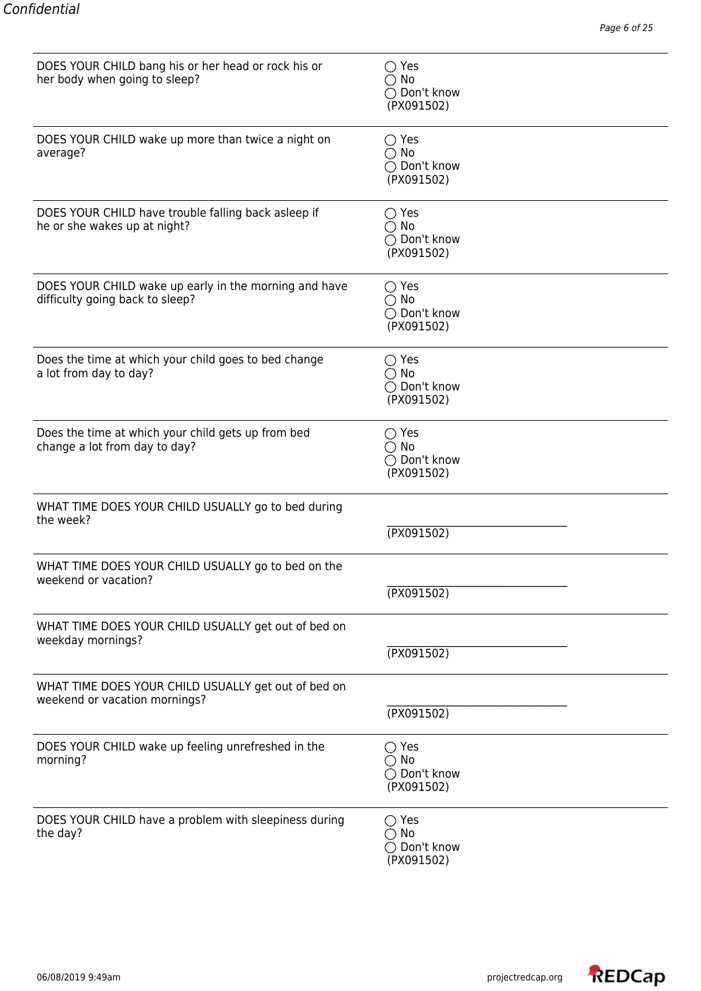| DOES YOUR CHILD bang his or her head or rock his or<br>her body when going to sleep?     | $\bigcirc$ Yes<br>$\bigcirc$ No<br>◯ Don't know<br>(PX091502) |
|------------------------------------------------------------------------------------------|---------------------------------------------------------------|
| DOES YOUR CHILD wake up more than twice a night on<br>average?                           | $\bigcirc$ Yes<br>$\bigcirc$ No<br>◯ Don't know<br>(PX091502) |
| DOES YOUR CHILD have trouble falling back asleep if<br>he or she wakes up at night?      | $\bigcirc$ Yes<br>$\bigcirc$ No<br>◯ Don't know<br>(PX091502) |
| DOES YOUR CHILD wake up early in the morning and have<br>difficulty going back to sleep? | $\bigcirc$ Yes<br>$\bigcirc$ No<br>◯ Don't know<br>(PX091502) |
| Does the time at which your child goes to bed change<br>a lot from day to day?           | $\bigcirc$ Yes<br>$\bigcirc$ No<br>◯ Don't know<br>(PX091502) |
| Does the time at which your child gets up from bed<br>change a lot from day to day?      | $\bigcirc$ Yes<br>$\bigcirc$ No<br>◯ Don't know<br>(PX091502) |
| WHAT TIME DOES YOUR CHILD USUALLY go to bed during<br>the week?                          | (TX091502)                                                    |
| WHAT TIME DOES YOUR CHILD USUALLY go to bed on the<br>weekend or vacation?               | (TX091502)                                                    |
| WHAT TIME DOES YOUR CHILD USUALLY get out of bed on<br>weekday mornings?                 | (TX091502)                                                    |
| WHAT TIME DOES YOUR CHILD USUALLY get out of bed on<br>weekend or vacation mornings?     | (TX091502)                                                    |
| DOES YOUR CHILD wake up feeling unrefreshed in the<br>morning?                           | $\bigcirc$ Yes<br>$\bigcirc$ No<br>◯ Don't know<br>(PX091502) |
| DOES YOUR CHILD have a problem with sleepiness during<br>the day?                        | $\bigcirc$ Yes<br>$\bigcirc$ No<br>◯ Don't know<br>(PX091502) |

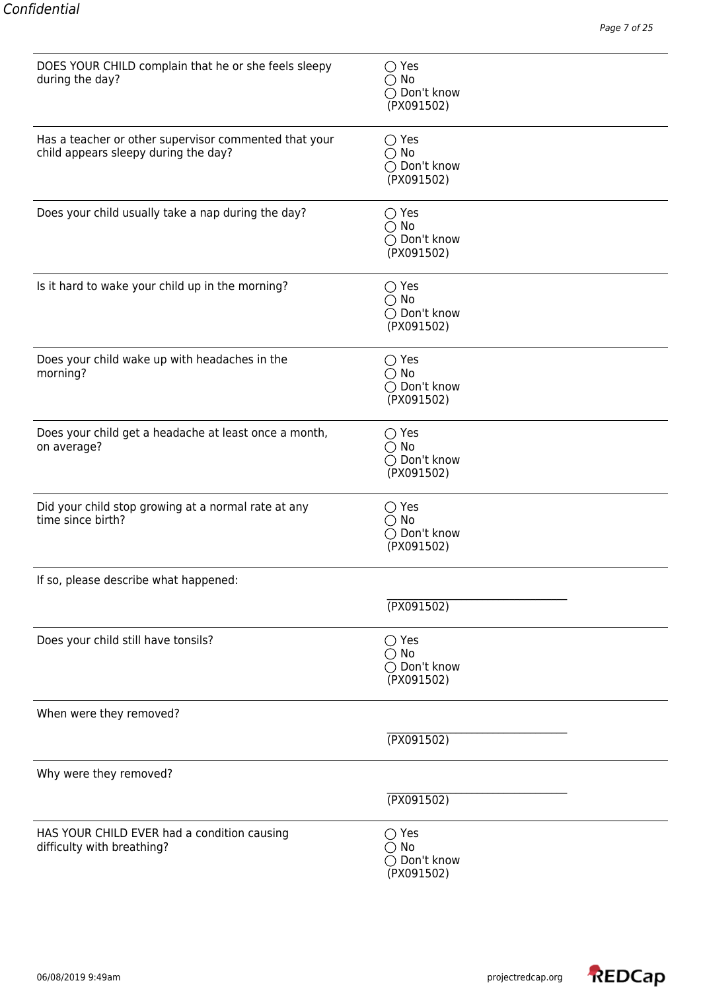| DOES YOUR CHILD complain that he or she feels sleepy<br>during the day?                       | $\bigcirc$ Yes<br>$\bigcirc$ No<br>◯ Don't know<br>(PX091502) |
|-----------------------------------------------------------------------------------------------|---------------------------------------------------------------|
| Has a teacher or other supervisor commented that your<br>child appears sleepy during the day? | $\bigcirc$ Yes<br>$\bigcirc$ No<br>◯ Don't know<br>(PX091502) |
| Does your child usually take a nap during the day?                                            | $\bigcirc$ Yes<br>$\bigcirc$ No<br>◯ Don't know<br>(PX091502) |
| Is it hard to wake your child up in the morning?                                              | $\bigcirc$ Yes<br>$\bigcirc$ No<br>◯ Don't know<br>(PX091502) |
| Does your child wake up with headaches in the<br>morning?                                     | $\bigcirc$ Yes<br>$\bigcirc$ No<br>◯ Don't know<br>(PX091502) |
| Does your child get a headache at least once a month,<br>on average?                          | $\bigcirc$ Yes<br>$\bigcirc$ No<br>○ Don't know<br>(PX091502) |
| Did your child stop growing at a normal rate at any<br>time since birth?                      | $\bigcirc$ Yes<br>$\bigcirc$ No<br>◯ Don't know<br>(PX091502) |
| If so, please describe what happened:                                                         |                                                               |
|                                                                                               | (PX091502)                                                    |
| Does your child still have tonsils?                                                           | $\bigcirc$ Yes<br>$\bigcirc$ No<br>◯ Don't know<br>(PX091502) |
| When were they removed?                                                                       |                                                               |
|                                                                                               | (TX091502)                                                    |
| Why were they removed?                                                                        |                                                               |
|                                                                                               | (TX091502)                                                    |
| HAS YOUR CHILD EVER had a condition causing<br>difficulty with breathing?                     | $\bigcirc$ Yes<br>$\bigcirc$ No<br>◯ Don't know<br>(PX091502) |

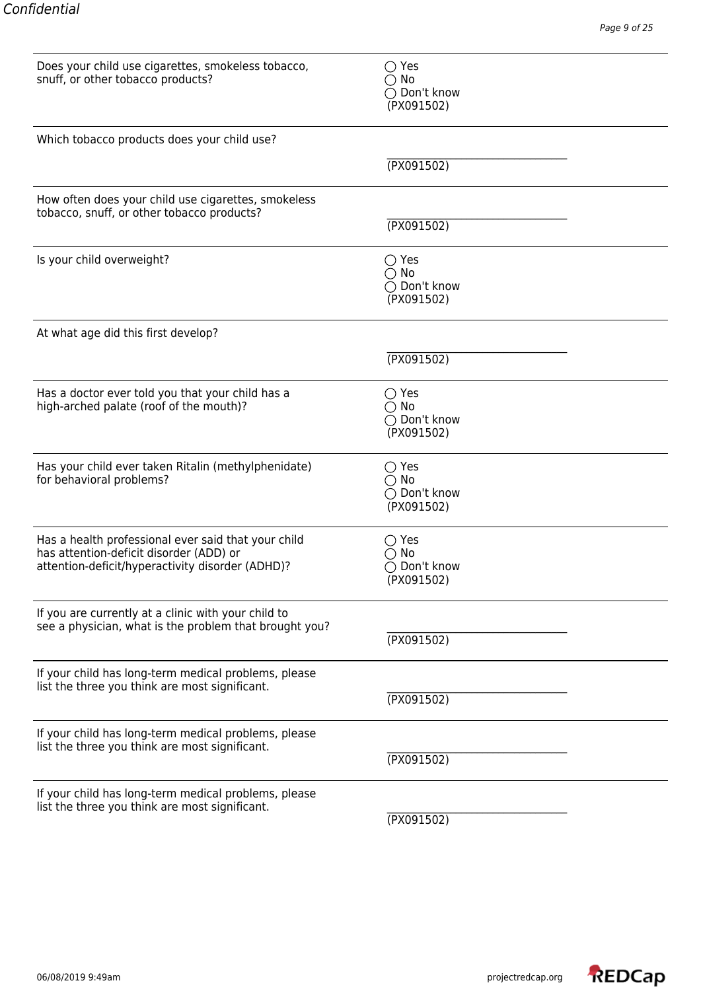| Does your child use cigarettes, smokeless tobacco,<br>snuff, or other tobacco products?                                                            | $\bigcirc$ Yes<br>$\bigcirc$ No<br>◯ Don't know<br>(PX091502) |
|----------------------------------------------------------------------------------------------------------------------------------------------------|---------------------------------------------------------------|
| Which tobacco products does your child use?                                                                                                        |                                                               |
|                                                                                                                                                    | (TX091502)                                                    |
| How often does your child use cigarettes, smokeless<br>tobacco, snuff, or other tobacco products?                                                  | (TX091502)                                                    |
| Is your child overweight?                                                                                                                          | $\bigcirc$ Yes<br>$\bigcirc$ No<br>◯ Don't know<br>(PX091502) |
| At what age did this first develop?                                                                                                                |                                                               |
|                                                                                                                                                    | (TX091502)                                                    |
| Has a doctor ever told you that your child has a<br>high-arched palate (roof of the mouth)?                                                        | $\bigcirc$ Yes<br>$\bigcirc$ No<br>◯ Don't know<br>(PX091502) |
| Has your child ever taken Ritalin (methylphenidate)<br>for behavioral problems?                                                                    | $\bigcirc$ Yes<br>$\bigcirc$ No<br>◯ Don't know<br>(PX091502) |
| Has a health professional ever said that your child<br>has attention-deficit disorder (ADD) or<br>attention-deficit/hyperactivity disorder (ADHD)? | $\bigcirc$ Yes<br>No<br>$\bigcirc$ Don't know<br>(PX091502)   |
| If you are currently at a clinic with your child to<br>see a physician, what is the problem that brought you?                                      | (TX091502)                                                    |
| If your child has long-term medical problems, please<br>list the three you think are most significant.                                             | (TX091502)                                                    |
| If your child has long-term medical problems, please<br>list the three you think are most significant.                                             | (TX091502)                                                    |
| If your child has long-term medical problems, please<br>list the three you think are most significant.                                             | (TX091502)                                                    |

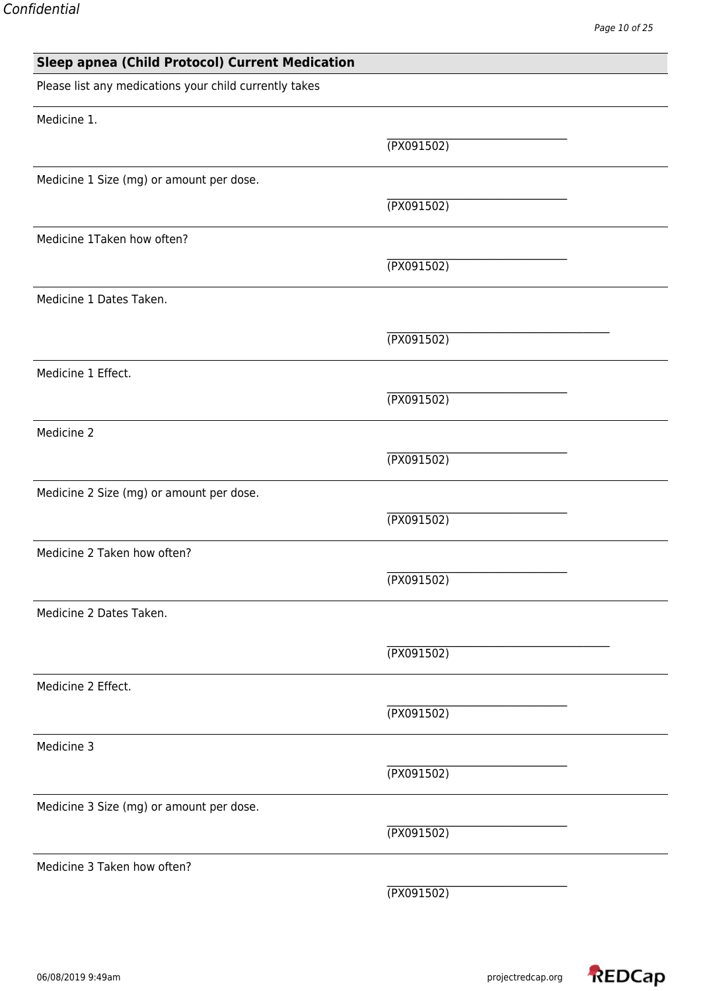| <b>Sleep apnea (Child Protocol) Current Medication</b> |            |
|--------------------------------------------------------|------------|
| Please list any medications your child currently takes |            |
| Medicine 1.                                            |            |
|                                                        | (TX091502) |
| Medicine 1 Size (mg) or amount per dose.               |            |
|                                                        | (TX091502) |
| Medicine 1Taken how often?                             |            |
|                                                        | (TX091502) |
| Medicine 1 Dates Taken.                                |            |
|                                                        | (TX091502) |
| Medicine 1 Effect.                                     |            |
|                                                        | (TX091502) |
| Medicine 2                                             |            |
|                                                        | (TX091502) |
| Medicine 2 Size (mg) or amount per dose.               |            |
|                                                        | (TX091502) |
| Medicine 2 Taken how often?                            |            |
|                                                        | (TX091502) |
| Medicine 2 Dates Taken.                                |            |
|                                                        | (TX091502) |
| Medicine 2 Effect.                                     |            |
|                                                        | (TX091502) |
| Medicine 3                                             |            |
|                                                        | (TX091502) |
| Medicine 3 Size (mg) or amount per dose.               |            |
|                                                        | (TX091502) |
| Medicine 3 Taken how often?                            |            |
|                                                        | (TX091502) |
|                                                        |            |

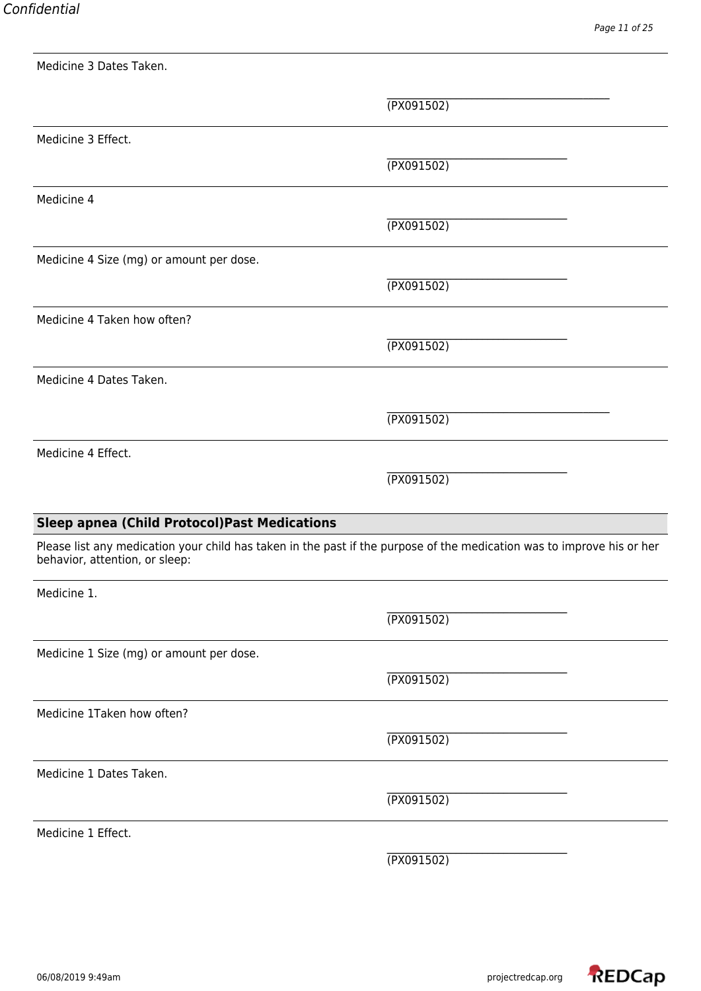|                                                     | (TX091502)                                                                                                             |
|-----------------------------------------------------|------------------------------------------------------------------------------------------------------------------------|
| Medicine 3 Effect.                                  |                                                                                                                        |
|                                                     | (TX091502)                                                                                                             |
| Medicine 4                                          |                                                                                                                        |
|                                                     | (TX091502)                                                                                                             |
| Medicine 4 Size (mg) or amount per dose.            |                                                                                                                        |
|                                                     | (TX091502)                                                                                                             |
| Medicine 4 Taken how often?                         |                                                                                                                        |
|                                                     | (TX091502)                                                                                                             |
| Medicine 4 Dates Taken.                             |                                                                                                                        |
|                                                     | (TX091502)                                                                                                             |
| Medicine 4 Effect.                                  |                                                                                                                        |
|                                                     | (TX091502)                                                                                                             |
| <b>Sleep apnea (Child Protocol)Past Medications</b> |                                                                                                                        |
|                                                     |                                                                                                                        |
| behavior, attention, or sleep:                      | Please list any medication your child has taken in the past if the purpose of the medication was to improve his or her |
| Medicine 1.                                         |                                                                                                                        |
|                                                     | (TX091502)                                                                                                             |
| Medicine 1 Size (mg) or amount per dose.            |                                                                                                                        |
|                                                     | (TX091502)                                                                                                             |
| Medicine 1Taken how often?                          |                                                                                                                        |
|                                                     | (TX091502)                                                                                                             |
| Medicine 1 Dates Taken.                             |                                                                                                                        |
|                                                     | (TX091502)                                                                                                             |
| Medicine 1 Effect.                                  |                                                                                                                        |
|                                                     | (TX091502)                                                                                                             |

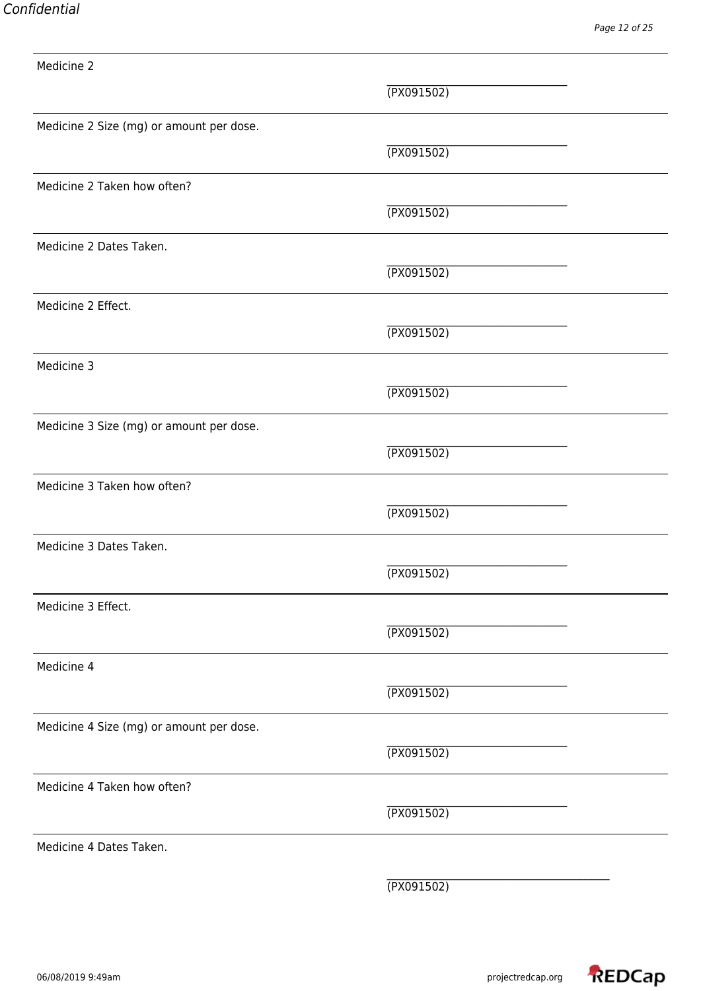\_\_\_\_\_\_\_\_\_\_\_\_\_\_\_\_\_\_\_\_\_\_\_\_\_\_\_\_\_\_\_\_\_\_ (PX091502) Medicine 2 Size (mg) or amount per dose. \_\_\_\_\_\_\_\_\_\_\_\_\_\_\_\_\_\_\_\_\_\_\_\_\_\_\_\_\_\_\_\_\_\_ (PX091502) Medicine 2 Taken how often?  $\mathcal{L}_\text{max}$ (PX091502) Medicine 2 Dates Taken.  $\mathcal{L}_\text{max}$ (PX091502) Medicine 2 Effect. \_\_\_\_\_\_\_\_\_\_\_\_\_\_\_\_\_\_\_\_\_\_\_\_\_\_\_\_\_\_\_\_\_\_ (PX091502) Medicine 3 \_\_\_\_\_\_\_\_\_\_\_\_\_\_\_\_\_\_\_\_\_\_\_\_\_\_\_\_\_\_\_\_\_\_ (PX091502) Medicine 3 Size (mg) or amount per dose. \_\_\_\_\_\_\_\_\_\_\_\_\_\_\_\_\_\_\_\_\_\_\_\_\_\_\_\_\_\_\_\_\_\_ (PX091502) Medicine 3 Taken how often? \_\_\_\_\_\_\_\_\_\_\_\_\_\_\_\_\_\_\_\_\_\_\_\_\_\_\_\_\_\_\_\_\_\_ (PX091502) Medicine 3 Dates Taken. \_\_\_\_\_\_\_\_\_\_\_\_\_\_\_\_\_\_\_\_\_\_\_\_\_\_\_\_\_\_\_\_\_\_ (PX091502) Medicine 3 Effect. \_\_\_\_\_\_\_\_\_\_\_\_\_\_\_\_\_\_\_\_\_\_\_\_\_\_\_\_\_\_\_\_\_\_ (PX091502) Medicine 4 (PX091502) Medicine 4 Size (mg) or amount per dose. (PX091502) Medicine 4 Taken how often? (PX091502) Medicine 4 Dates Taken. (PX091502)

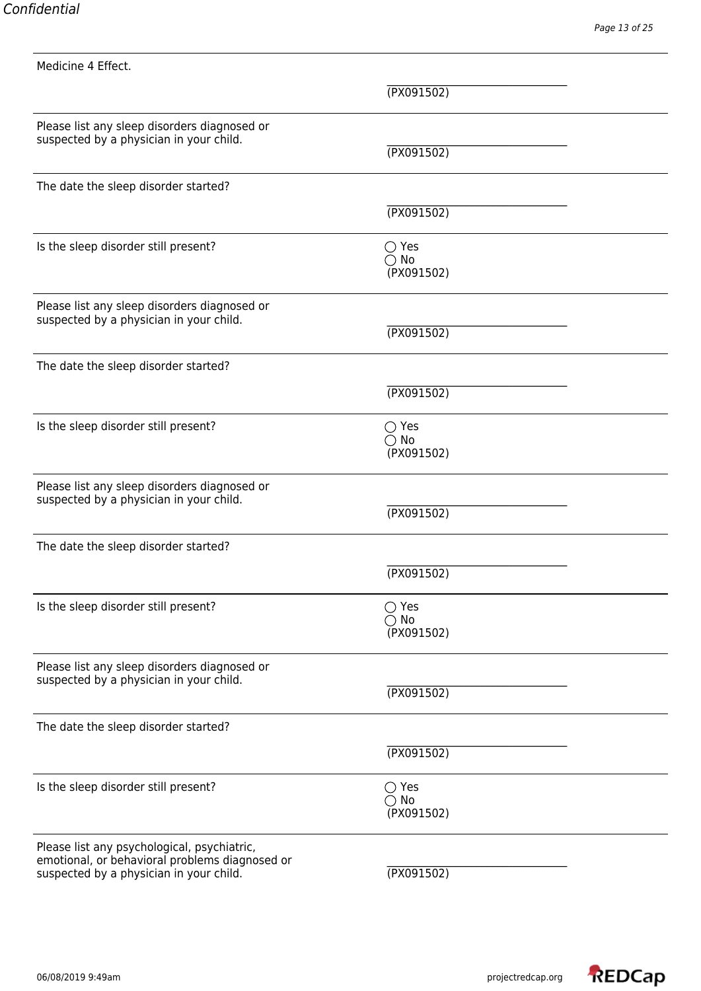Medicine 4 Effect. \_\_\_\_\_\_\_\_\_\_\_\_\_\_\_\_\_\_\_\_\_\_\_\_\_\_\_\_\_\_\_\_\_\_ (PX091502) Please list any sleep disorders diagnosed or suspected by a physician in your child. (PX091502) The date the sleep disorder started?  $\mathcal{L}_\text{max}$ (PX091502) Is the sleep disorder still present?  $\bigcirc$  Yes No (PX091502) Please list any sleep disorders diagnosed or suspected by a physician in your child. (PX091502) The date the sleep disorder started? \_\_\_\_\_\_\_\_\_\_\_\_\_\_\_\_\_\_\_\_\_\_\_\_\_\_\_\_\_\_\_\_\_\_ (PX091502) Is the sleep disorder still present?  $\bigcirc$  Yes No (PX091502) Please list any sleep disorders diagnosed or suspected by a physician in your child. (PX091502) The date the sleep disorder started? \_\_\_\_\_\_\_\_\_\_\_\_\_\_\_\_\_\_\_\_\_\_\_\_\_\_\_\_\_\_\_\_\_\_ (PX091502) Is the sleep disorder still present?  $\bigcirc$  Yes No (PX091502) Please list any sleep disorders diagnosed or suspected by a physician in your child. (PX091502) The date the sleep disorder started? (PX091502) Is the sleep disorder still present?  $\bigcirc$  Yes  $\bigcirc$  No (PX091502) Please list any psychological, psychiatric, emotional, or behavioral problems diagnosed or<br>suspected by a physician in your child. (PX091502)

suspected by a physician in your child.

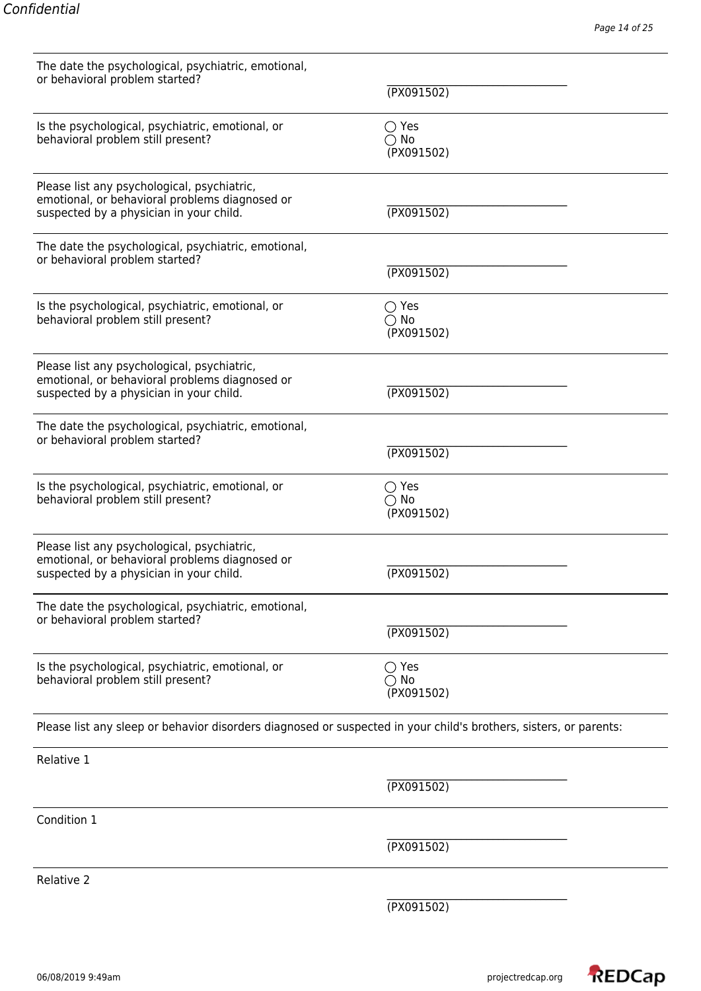| The date the psychological, psychiatric, emotional,<br>or behavioral problem started?                                                    | (PX091502)                                    |  |
|------------------------------------------------------------------------------------------------------------------------------------------|-----------------------------------------------|--|
|                                                                                                                                          |                                               |  |
| Is the psychological, psychiatric, emotional, or<br>behavioral problem still present?                                                    | $\bigcirc$ Yes<br>$\bigcirc$ No<br>(PX091502) |  |
| Please list any psychological, psychiatric,<br>emotional, or behavioral problems diagnosed or<br>suspected by a physician in your child. | (TX091502)                                    |  |
| The date the psychological, psychiatric, emotional,<br>or behavioral problem started?                                                    | (TX091502)                                    |  |
| Is the psychological, psychiatric, emotional, or<br>behavioral problem still present?                                                    | $\bigcirc$ Yes<br>$\bigcirc$ No<br>(PX091502) |  |
| Please list any psychological, psychiatric,<br>emotional, or behavioral problems diagnosed or<br>suspected by a physician in your child. | (TX091502)                                    |  |
| The date the psychological, psychiatric, emotional,<br>or behavioral problem started?                                                    | (TX091502)                                    |  |
| Is the psychological, psychiatric, emotional, or<br>behavioral problem still present?                                                    | $\bigcirc$ Yes<br>$\bigcirc$ No<br>(PX091502) |  |
| Please list any psychological, psychiatric,<br>emotional, or behavioral problems diagnosed or<br>suspected by a physician in your child. | (PX091502)                                    |  |
| The date the psychological, psychiatric, emotional,<br>or behavioral problem started?                                                    | (TX091502)                                    |  |
| Is the psychological, psychiatric, emotional, or<br>behavioral problem still present?                                                    | $\bigcirc$ Yes<br>$\bigcirc$ No<br>(PX091502) |  |
| Please list any sleep or behavior disorders diagnosed or suspected in your child's brothers, sisters, or parents:                        |                                               |  |
| Relative 1                                                                                                                               |                                               |  |
|                                                                                                                                          | (TX091502)                                    |  |
| Condition 1                                                                                                                              |                                               |  |
|                                                                                                                                          | (PX091502)                                    |  |
| Relative 2                                                                                                                               |                                               |  |
|                                                                                                                                          | (TX091502)                                    |  |
|                                                                                                                                          |                                               |  |

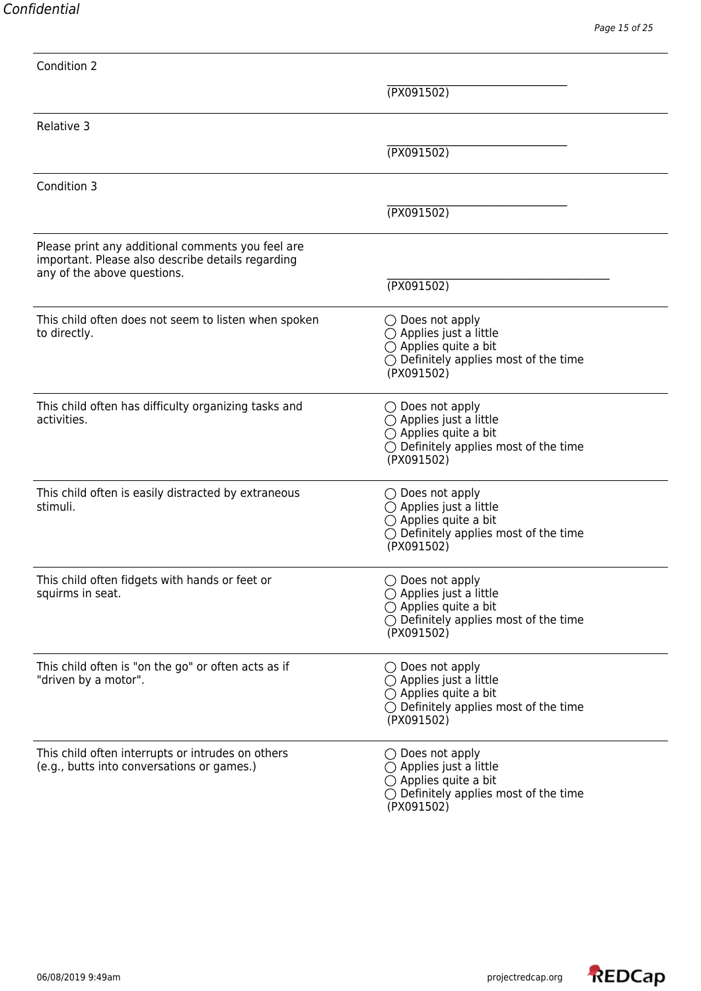| Condition 2                                                                                                                           |                                                                                                                                                                 |
|---------------------------------------------------------------------------------------------------------------------------------------|-----------------------------------------------------------------------------------------------------------------------------------------------------------------|
|                                                                                                                                       | (PX091502)                                                                                                                                                      |
| Relative 3                                                                                                                            |                                                                                                                                                                 |
|                                                                                                                                       | (PX091502)                                                                                                                                                      |
| Condition 3                                                                                                                           |                                                                                                                                                                 |
|                                                                                                                                       | (TX091502)                                                                                                                                                      |
| Please print any additional comments you feel are<br>important. Please also describe details regarding<br>any of the above questions. |                                                                                                                                                                 |
|                                                                                                                                       | (TX091502)                                                                                                                                                      |
| This child often does not seem to listen when spoken<br>to directly.                                                                  | $\bigcirc$ Does not apply<br>$\bigcirc$ Applies just a little<br>$\bigcirc$ Applies quite a bit<br>$\bigcirc$ Definitely applies most of the time<br>(PX091502) |
| This child often has difficulty organizing tasks and<br>activities.                                                                   | $\bigcirc$ Does not apply<br>$\bigcirc$ Applies just a little<br>$\bigcirc$ Applies quite a bit<br>$\bigcirc$ Definitely applies most of the time<br>(PX091502) |
| This child often is easily distracted by extraneous<br>stimuli.                                                                       | $\bigcirc$ Does not apply<br>$\bigcirc$ Applies just a little<br>$\bigcirc$ Applies quite a bit<br>$\bigcirc$ Definitely applies most of the time<br>(PX091502) |
| This child often fidgets with hands or feet or<br>squirms in seat.                                                                    | $\bigcirc$ Does not apply<br>$\bigcirc$ Applies just a little<br>$\bigcirc$ Applies quite a bit<br>$\bigcirc$ Definitely applies most of the time<br>(PX091502) |
| This child often is "on the go" or often acts as if<br>"driven by a motor".                                                           | $\bigcirc$ Does not apply<br>$\bigcirc$ Applies just a little<br>$\bigcirc$ Applies quite a bit<br>$\bigcirc$ Definitely applies most of the time<br>(PX091502) |
| This child often interrupts or intrudes on others<br>(e.g., butts into conversations or games.)                                       | $\bigcirc$ Does not apply<br>$\bigcirc$ Applies just a little<br>$\bigcirc$ Applies quite a bit<br>$\bigcirc$ Definitely applies most of the time               |

(PX091502)

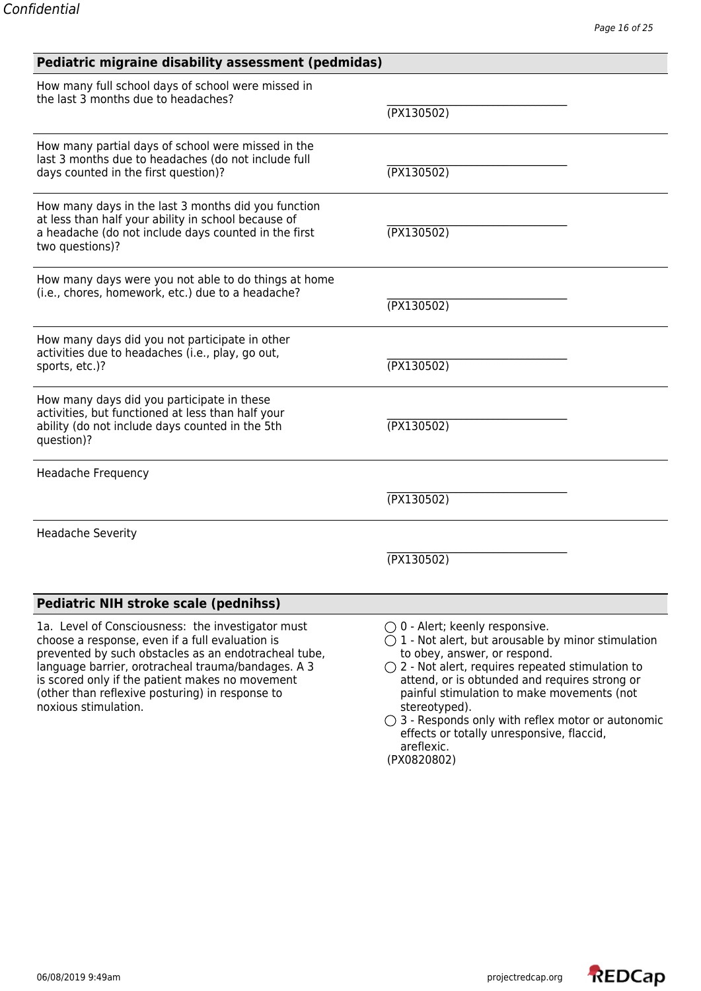| Pediatric migraine disability assessment (pedmidas)                                                                                                                                                                                                                                                                                              |                                                                                                                                                                                                                                                                                                                                                                                                                                    |  |
|--------------------------------------------------------------------------------------------------------------------------------------------------------------------------------------------------------------------------------------------------------------------------------------------------------------------------------------------------|------------------------------------------------------------------------------------------------------------------------------------------------------------------------------------------------------------------------------------------------------------------------------------------------------------------------------------------------------------------------------------------------------------------------------------|--|
| How many full school days of school were missed in<br>the last 3 months due to headaches?                                                                                                                                                                                                                                                        | (PX130502)                                                                                                                                                                                                                                                                                                                                                                                                                         |  |
| How many partial days of school were missed in the<br>last 3 months due to headaches (do not include full<br>days counted in the first question)?                                                                                                                                                                                                | (TX130502)                                                                                                                                                                                                                                                                                                                                                                                                                         |  |
| How many days in the last 3 months did you function<br>at less than half your ability in school because of<br>a headache (do not include days counted in the first<br>two questions)?                                                                                                                                                            | (TX130502)                                                                                                                                                                                                                                                                                                                                                                                                                         |  |
| How many days were you not able to do things at home<br>(i.e., chores, homework, etc.) due to a headache?                                                                                                                                                                                                                                        | (TX130502)                                                                                                                                                                                                                                                                                                                                                                                                                         |  |
| How many days did you not participate in other<br>activities due to headaches (i.e., play, go out,<br>sports, etc.)?                                                                                                                                                                                                                             | (PX130502)                                                                                                                                                                                                                                                                                                                                                                                                                         |  |
| How many days did you participate in these<br>activities, but functioned at less than half your<br>ability (do not include days counted in the 5th<br>question)?                                                                                                                                                                                 | (PX130502)                                                                                                                                                                                                                                                                                                                                                                                                                         |  |
| Headache Frequency                                                                                                                                                                                                                                                                                                                               |                                                                                                                                                                                                                                                                                                                                                                                                                                    |  |
|                                                                                                                                                                                                                                                                                                                                                  | (PX130502)                                                                                                                                                                                                                                                                                                                                                                                                                         |  |
| <b>Headache Severity</b>                                                                                                                                                                                                                                                                                                                         |                                                                                                                                                                                                                                                                                                                                                                                                                                    |  |
|                                                                                                                                                                                                                                                                                                                                                  | (PX130502)                                                                                                                                                                                                                                                                                                                                                                                                                         |  |
| <b>Pediatric NIH stroke scale (pednihss)</b>                                                                                                                                                                                                                                                                                                     |                                                                                                                                                                                                                                                                                                                                                                                                                                    |  |
| 1a. Level of Consciousness: the investigator must<br>choose a response, even if a full evaluation is<br>prevented by such obstacles as an endotracheal tube,<br>language barrier, orotracheal trauma/bandages. A 3<br>is scored only if the patient makes no movement<br>(other than reflexive posturing) in response to<br>noxious stimulation. | $\bigcirc$ 0 - Alert; keenly responsive.<br>$\bigcirc$ 1 - Not alert, but arousable by minor stimulation<br>to obey, answer, or respond.<br>$\bigcirc$ 2 - Not alert, requires repeated stimulation to<br>attend, or is obtunded and requires strong or<br>painful stimulation to make movements (not<br>stereotyped).<br>$\bigcirc$ 3 - Responds only with reflex motor or autonomic<br>effects or totally unresponsive, flaccid, |  |

areflexic. (PX0820802)

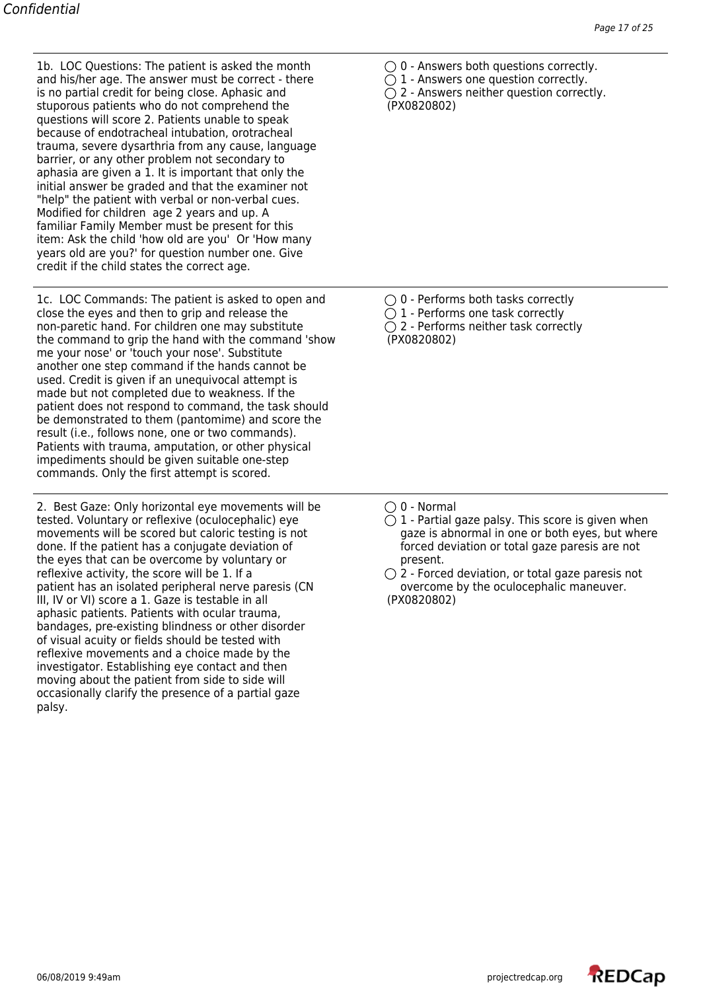1b. LOC Questions: The patient is asked the month  $\bigcirc$  0 - Answers both questions correctly. and his/her age. The answer must be correct - there  $\bigcirc$  1 - Answers one question correctly. is no partial credit for being close. Aphasic and  $\bigcirc$  2 - Answers neither question correctly. stuporous patients who do not comprehend the (PX0820802) questions will score 2. Patients unable to speak because of endotracheal intubation, orotracheal trauma, severe dysarthria from any cause, language barrier, or any other problem not secondary to aphasia are given a 1. It is important that only the initial answer be graded and that the examiner not "help" the patient with verbal or non-verbal cues. Modified for children age 2 years and up. A familiar Family Member must be present for this item: Ask the child 'how old are you' Or 'How many years old are you?' for question number one. Give credit if the child states the correct age.

1c. LOC Commands: The patient is asked to open and  $\bigcirc$  0 - Performs both tasks correctly close the eyes and then to grip and release the  $\bigcirc$  1 - Performs one task correctly non-paretic hand. For children one may substitute  $\bigcirc$  2 - Performs neither task correctly the command to grip the hand with the command 'show (PX0820802) me your nose' or 'touch your nose'. Substitute another one step command if the hands cannot be used. Credit is given if an unequivocal attempt is made but not completed due to weakness. If the patient does not respond to command, the task should be demonstrated to them (pantomime) and score the result (i.e., follows none, one or two commands). Patients with trauma, amputation, or other physical impediments should be given suitable one-step commands. Only the first attempt is scored.

2. Best Gaze: Only horizontal eye movements will be  $\bigcirc$  0 - Normal tested. Voluntary or reflexive (oculocephalic) eye  $\bigcirc$  1 - Partial gaze palsy. This score is given when movements will be scored but caloric testing is not gaze is abnormal in one or both eyes, but where done. If the patient has a conjugate deviation of forest proced deviation or total gaze paresis are not the eyes that can be overcome by voluntary or present. reflexive activity, the score will be 1. If a  $\bigcirc$  2 - Forced deviation, or total gaze paresis not patient has an isolated peripheral nerve paresis (CN overcome by the oculocephalic maneuver. III, IV or VI) score a 1. Gaze is testable in all (PX0820802) aphasic patients. Patients with ocular trauma, bandages, pre-existing blindness or other disorder of visual acuity or fields should be tested with reflexive movements and a choice made by the investigator. Establishing eye contact and then moving about the patient from side to side will occasionally clarify the presence of a partial gaze palsy.

- 
- 

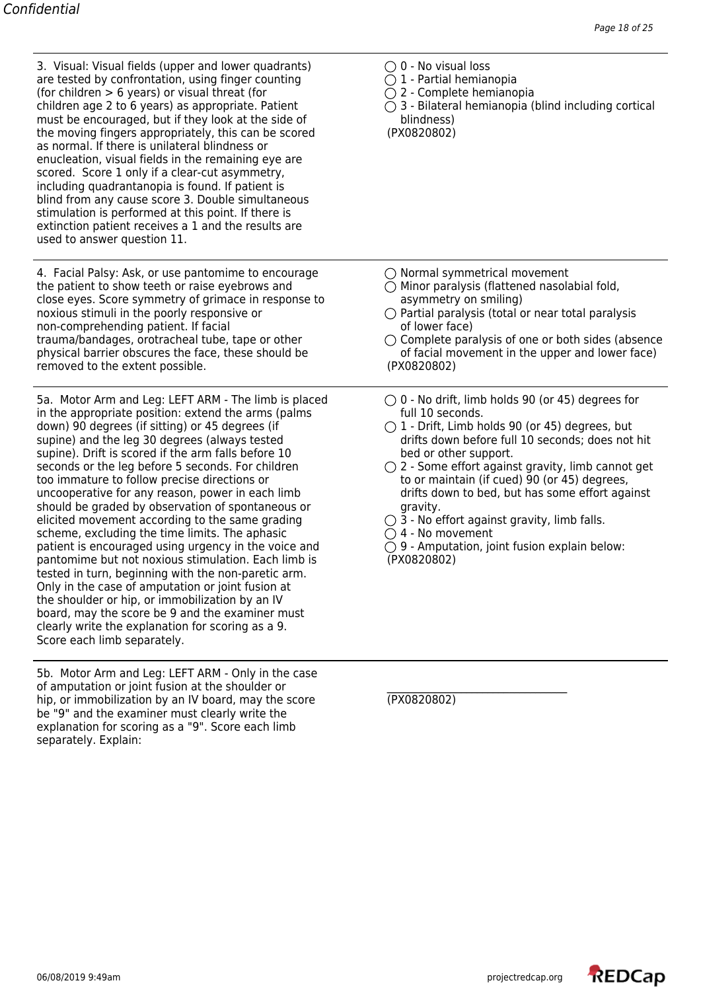3. Visual: Visual fields (upper and lower quadrants)  $\bigcirc$  0 - No visual loss are tested by confrontation, using finger counting  $\bigcirc$  1 - Partial hemianopia are tested by confrontation, using finger counting (for children > 6 years) or visual threat (for  $\bigcirc$  2 - Complete hemianopia<br>
children age 2 to 6 years) as appropriate. Patient  $\bigcirc$  3 - Bilateral hemianopia (blind including cortical children age 2 to 6 years) as appropriate. Patient must be encouraged, but if they look at the side of blindness) the moving fingers appropriately, this can be scored (PX0820802) as normal. If there is unilateral blindness or enucleation, visual fields in the remaining eye are scored. Score 1 only if a clear-cut asymmetry, including quadrantanopia is found. If patient is blind from any cause score 3. Double simultaneous stimulation is performed at this point. If there is extinction patient receives a 1 and the results are used to answer question 11.

4. Facial Palsy: Ask, or use pantomime to encourage  $\bigcirc$  Normal symmetrical movement the patient to show teeth or raise eyebrows and  $\bigcirc$  Minor paralysis (flattened nasolabial fold, close eyes. Score symmetry of grimace in response to asymmetry on smiling) noxious stimuli in the poorly responsive or  $\bigcirc$  Partial paralysis (total or near total paralysis non-comprehending patient. If facial and the same of lower face) trauma/bandages, orotracheal tube, tape or other  $\bigcirc$  Complete paralysis of one or both sides (absence physical barrier obscures the face, these should be of facial movement in the upper and lower face) removed to the extent possible. (PX0820802)

5a. Motor Arm and Leg: LEFT ARM - The limb is placed  $\bigcirc$  0 - No drift, limb holds 90 (or 45) degrees for in the appropriate position: extend the arms (palms full 10 seconds. down) 90 degrees (if sitting) or 45 degrees (if  $\bigcirc$  1 - Drift, Limb holds 90 (or 45) degrees, but supine) and the leg 30 degrees (always tested drifts down before full 10 seconds; does not hit supine). Drift is scored if the arm falls before 10 bed or other support. seconds or the leg before 5 seconds. For children  $\bigcirc$  2 - Some effort against gravity, limb cannot get too immature to follow precise directions or to or maintain (if cued) 90 (or 45) degrees, uncooperative for any reason, power in each limb drifts down to bed, but has some effort against should be graded by observation of spontaneous or gravity. elicited movement according to the same grading  $\bigcirc$  3 - No effort against gravity, limb falls. scheme, excluding the time limits. The aphasic  $\bigcirc$  4 - No movement patient is encouraged using urgency in the voice and  $O9$  - Amputation, joint fusion explain below:<br>pantomime but not noxious stimulation. Each limb is  $(PX0820802)$ pantomime but not noxious stimulation. Each limb is tested in turn, beginning with the non-paretic arm. Only in the case of amputation or joint fusion at the shoulder or hip, or immobilization by an IV board, may the score be 9 and the examiner must clearly write the explanation for scoring as a 9. Score each limb separately.

5b. Motor Arm and Leg: LEFT ARM - Only in the case of amputation or joint fusion at the shoulder or  $\overline{P}$  and  $\overline{P}$  (PX0820802) hip, or immobilization by an IV board, may the score be "9" and the examiner must clearly write the explanation for scoring as a "9". Score each limb separately. Explain:

- 
- 
- 
- 

- 
- 
- 
- 
- 
- 
- 
- 
- 
- 

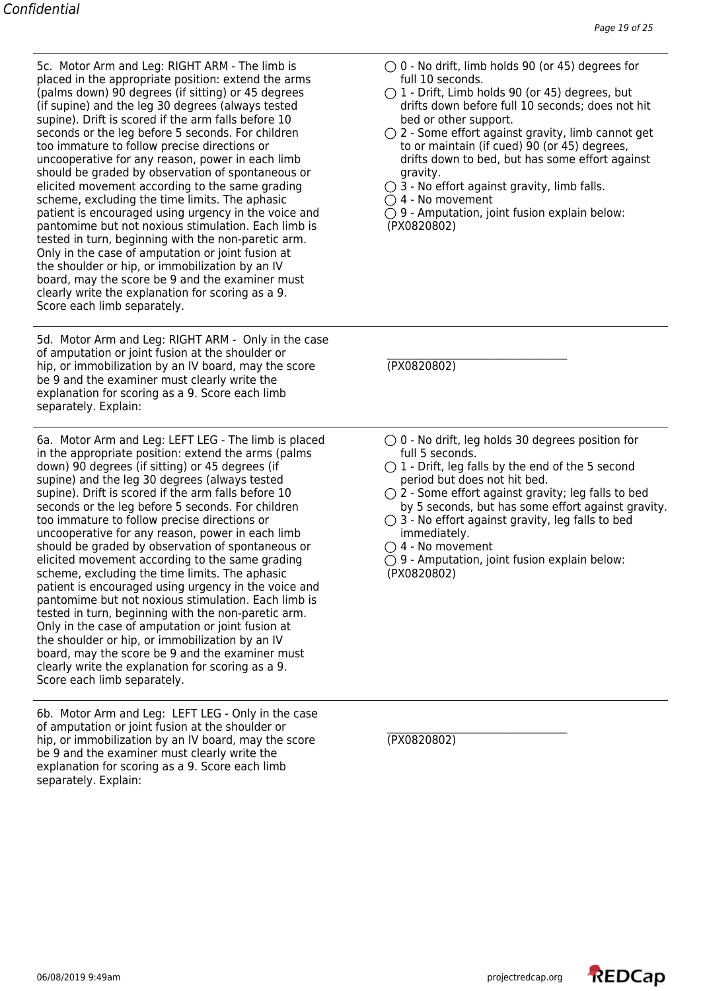placed in the appropriate position: extend the arms full 10 seconds. (if supine) and the leg 30 degrees (always tested supine). Drift is scored if the arm falls before 10 bed or other support. too immature to follow precise directions or to or maintain (if cued) 90 (or 45) degrees, should be graded by observation of spontaneous or gravity. elicited movement according to the same grading  $\bigcirc$  3 - No effort against gravity, limb falls. scheme, excluding the time limits. The aphasic  $\bigcirc$  4 - No movement patient is encouraged using urgency in the voice and  $\bigcirc$  9 - Amputation, joint fusion explain below: pantomime but not noxious stimulation. Each limb is (PX0820802) tested in turn, beginning with the non-paretic arm. Only in the case of amputation or joint fusion at the shoulder or hip, or immobilization by an IV board, may the score be 9 and the examiner must clearly write the explanation for scoring as a 9. Score each limb separately.

5d. Motor Arm and Leg: RIGHT ARM - Only in the case of amputation or joint fusion at the shoulder or hip, or immobilization by an IV board, may the score (PX0820802) be 9 and the examiner must clearly write the explanation for scoring as a 9. Score each limb separately. Explain:

6a. Motor Arm and Leg: LEFT LEG - The limb is placed  $\bigcirc$  0 - No drift, leg holds 30 degrees position for in the appropriate position: extend the arms (palms full 5 seconds. down) 90 degrees (if sitting) or 45 degrees (if  $\bigcirc$  1 - Drift, leg falls by the end of the 5 second supine) and the leg 30 degrees (always tested period but does not hit bed. supine). Drift is scored if the arm falls before 10  $\bigcirc$  2 - Some effort against gravity; leg falls to bed seconds or the leg before 5 seconds. For children by 5 seconds, but has some effort against gravity. too immature to follow precise directions or  $\bigcirc$  3 - No effort against gravity, leg falls to bed uncooperative for any reason, power in each limb immediately. should be graded by observation of spontaneous or  $\bigcirc$  4 - No movement<br>elicited movement according to the same grading  $\bigcirc$  9 - Amputation, joint fusion explain below: elicited movement according to the same grading scheme, excluding the time limits. The aphasic (PX0820802) patient is encouraged using urgency in the voice and pantomime but not noxious stimulation. Each limb is tested in turn, beginning with the non-paretic arm. Only in the case of amputation or joint fusion at the shoulder or hip, or immobilization by an IV board, may the score be 9 and the examiner must clearly write the explanation for scoring as a 9. Score each limb separately.

6b. Motor Arm and Leg: LEFT LEG - Only in the case of amputation or joint fusion at the shoulder or hip, or immobilization by an IV board, may the score (PX0820802) be 9 and the examiner must clearly write the explanation for scoring as a 9. Score each limb separately. Explain:

- 5c. Motor Arm and Leg: RIGHT ARM The limb is  $\bigcirc$  0 No drift, limb holds 90 (or 45) degrees for
- (palms down) 90 degrees (if sitting) or 45 degrees  $\bigcirc$  1 Drift, Limb holds 90 (or 45) degrees, but (if supine) and the leg 30 degrees (always tested drifts down before full 10 seconds; does not hit
- seconds or the leg before 5 seconds. For children  $\bigcirc$  2 Some effort against gravity, limb cannot get uncooperative for any reason, power in each limb drifts down to bed, but has some effort against
	-
	-
	-

- 
- 
- 
- 
- 
- 

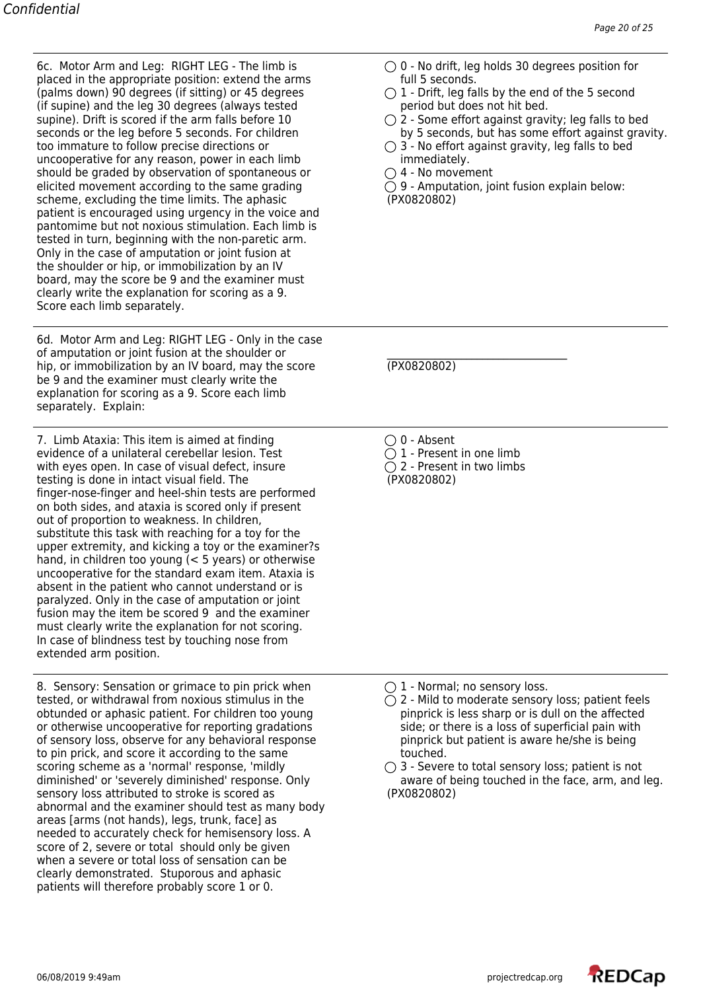6c. Motor Arm and Leg: RIGHT LEG - The limb is  $\bigcirc$  0 - No drift, leg holds 30 degrees position for placed in the appropriate position: extend the arms full 5 seconds. (palms down) 90 degrees (if sitting) or 45 degrees  $\bigcirc$  1 - Drift, leg falls by the end of the 5 second (if supine) and the leg 30 degrees (always tested period but does not hit bed. (if supine) and the leg 30 degrees (always tested supine). Drift is scored if the arm falls before  $10 \qquad \qquad Q$  - Some effort against gravity; leg falls to bed seconds or the leg before 5 seconds. For children by 5 seconds, but has some effort against gravity. too immature to follow precise directions or  $\bigcirc$  3 - No effort against gravity, leg falls to bed uncooperative for any reason, power in each limb immediately. should be graded by observation of spontaneous or  $\bigcirc$  4 - No movement elicited movement according to the same grading  $\bigcirc$  9 - Amputation, joint fusion explain below: scheme, excluding the time limits. The aphasic (PX0820802) patient is encouraged using urgency in the voice and pantomime but not noxious stimulation. Each limb is tested in turn, beginning with the non-paretic arm. Only in the case of amputation or joint fusion at the shoulder or hip, or immobilization by an IV board, may the score be 9 and the examiner must clearly write the explanation for scoring as a 9. Score each limb separately.

6d. Motor Arm and Leg: RIGHT LEG - Only in the case of amputation or joint fusion at the shoulder or hip, or immobilization by an IV board, may the score (PX0820802) be 9 and the examiner must clearly write the explanation for scoring as a 9. Score each limb separately. Explain:

7. Limb Ataxia: This item is aimed at finding  $\bigcirc$  0 - Absent evidence of a unilateral cerebellar lesion. Test  $\bigcirc$  1 - Present in one limb with eyes open. In case of visual defect, insure  $\bigcirc$  2 - Present in two limbs testing is done in intact visual field. The (PX0820802) finger-nose-finger and heel-shin tests are performed on both sides, and ataxia is scored only if present out of proportion to weakness. In children, substitute this task with reaching for a toy for the upper extremity, and kicking a toy or the examiner?s hand, in children too young (< 5 years) or otherwise uncooperative for the standard exam item. Ataxia is absent in the patient who cannot understand or is paralyzed. Only in the case of amputation or joint fusion may the item be scored 9 and the examiner must clearly write the explanation for not scoring. In case of blindness test by touching nose from extended arm position.

8. Sensory: Sensation or grimace to pin prick when  $\bigcirc$  1 - Normal; no sensory loss. tested, or withdrawal from noxious stimulus in the  $\bigcirc$  2 - Mild to moderate sensory loss; patient feels obtunded or aphasic patient. For children too young pinprick is less sharp or is dull on the affected or otherwise uncooperative for reporting gradations side; or there is a loss of superficial pain with of sensory loss, observe for any behavioral response pinprick but patient is aware he/she is being to pin prick, and score it according to the same touched. scoring scheme as a 'normal' response, 'mildly  $\bigcirc$  3 - Severe to total sensory loss; patient is not diminished' or 'severely diminished' response. Only aware of being touched in the face, arm, and leg. sensory loss attributed to stroke is scored as (PX0820802) abnormal and the examiner should test as many body areas [arms (not hands), legs, trunk, face] as needed to accurately check for hemisensory loss. A score of 2, severe or total should only be given when a severe or total loss of sensation can be clearly demonstrated. Stuporous and aphasic patients will therefore probably score 1 or 0.

- 
- 
- 
- 
- 

- 
- 

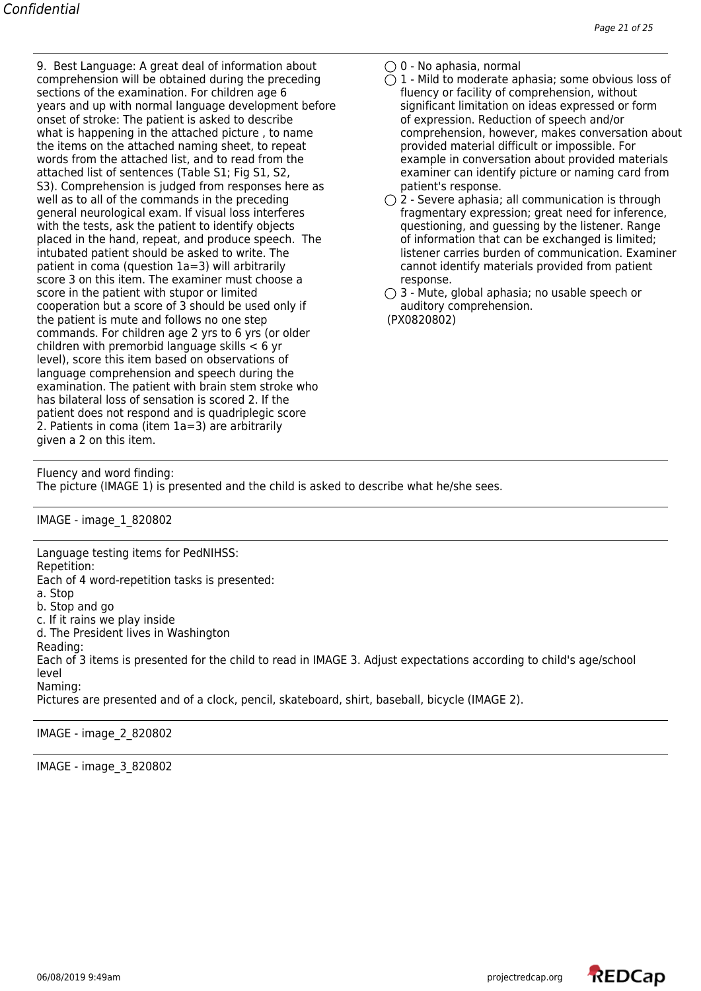9. Best Language: A great deal of information about  $\bigcirc$  0 - No aphasia, normal comprehension will be obtained during the preceding  $\bigcirc$  1 - Mild to moderate aphasia; some obvious loss of sections of the examination. For children age 6 fluency or facility of comprehension, without years and up with normal language development before significant limitation on ideas expressed or form onset of stroke: The patient is asked to describe on the orientation of speech and/or the items on the attached naming sheet, to repeat provided material difficult or impossible. For words from the attached list, and to read from the example in conversation about provided materials attached list of sentences (Table S1; Fig S1, S2, examiner can identify picture or naming card from S3). Comprehension is judged from responses here as patient's response. well as to all of the commands in the preceding  $\bigcirc$  2 - Severe aphasia; all communication is through general neurological exam. If visual loss interferes fragmentary expression; great need for inference, with the tests, ask the patient to identify objects questioning, and guessing by the listener. Range placed in the hand, repeat, and produce speech. The disterer of information that can be exchanged is limited; placed in the hand, repeat, and produce speech. The intubated patient should be asked to write. The patient in coma (question 1a=3) will arbitrarily example of cannot identify materials provided from patient score 3 on this item. The examiner must choose a response. score in the patient with stupor or limited  $\bigcirc$  3 - Mute, global aphasia; no usable speech or cooperation but a score of 3 should be used only if auditory comprehension. the patient is mute and follows no one step (PX0820802) commands. For children age 2 yrs to 6 yrs (or older children with premorbid language skills < 6 yr level), score this item based on observations of language comprehension and speech during the examination. The patient with brain stem stroke who has bilateral loss of sensation is scored 2. If the patient does not respond and is quadriplegic score 2. Patients in coma (item 1a=3) are arbitrarily given a 2 on this item.

- 
- what is happening in the attached picture, to name example of comprehension, however, makes conversation about
	- listener carries burden of communication. Examiner

Fluency and word finding:

The picture (IMAGE 1) is presented and the child is asked to describe what he/she sees.

IMAGE - image\_1\_820802

Language testing items for PedNIHSS: Repetition: Each of 4 word-repetition tasks is presented: a. Stop b. Stop and go c. If it rains we play inside d. The President lives in Washington Reading: Each of 3 items is presented for the child to read in IMAGE 3. Adjust expectations according to child's age/school level Naming:

Pictures are presented and of a clock, pencil, skateboard, shirt, baseball, bicycle (IMAGE 2).

IMAGE - image\_2\_820802

IMAGE - image\_3\_820802

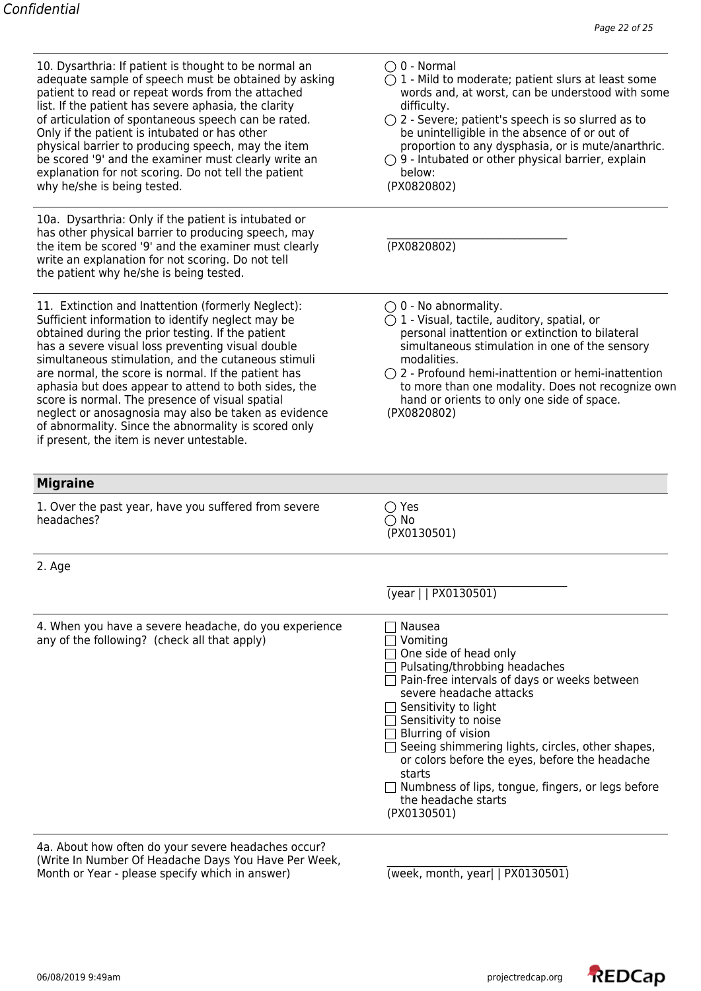| 10. Dysarthria: If patient is thought to be normal an<br>adequate sample of speech must be obtained by asking<br>patient to read or repeat words from the attached<br>list. If the patient has severe aphasia, the clarity<br>of articulation of spontaneous speech can be rated.<br>Only if the patient is intubated or has other<br>physical barrier to producing speech, may the item<br>be scored '9' and the examiner must clearly write an<br>explanation for not scoring. Do not tell the patient<br>why he/she is being tested.                                                                 | $\bigcirc$ 0 - Normal<br>$\bigcirc$ 1 - Mild to moderate; patient slurs at least some<br>words and, at worst, can be understood with some<br>difficulty.<br>$\bigcirc$ 2 - Severe; patient's speech is so slurred as to<br>be unintelligible in the absence of or out of<br>proportion to any dysphasia, or is mute/anarthric.<br>$\bigcirc$ 9 - Intubated or other physical barrier, explain<br>below:<br>(PX0820802)                                   |
|---------------------------------------------------------------------------------------------------------------------------------------------------------------------------------------------------------------------------------------------------------------------------------------------------------------------------------------------------------------------------------------------------------------------------------------------------------------------------------------------------------------------------------------------------------------------------------------------------------|----------------------------------------------------------------------------------------------------------------------------------------------------------------------------------------------------------------------------------------------------------------------------------------------------------------------------------------------------------------------------------------------------------------------------------------------------------|
| 10a. Dysarthria: Only if the patient is intubated or<br>has other physical barrier to producing speech, may<br>the item be scored '9' and the examiner must clearly<br>write an explanation for not scoring. Do not tell<br>the patient why he/she is being tested.                                                                                                                                                                                                                                                                                                                                     | (TX0820802)                                                                                                                                                                                                                                                                                                                                                                                                                                              |
| 11. Extinction and Inattention (formerly Neglect):<br>Sufficient information to identify neglect may be<br>obtained during the prior testing. If the patient<br>has a severe visual loss preventing visual double<br>simultaneous stimulation, and the cutaneous stimuli<br>are normal, the score is normal. If the patient has<br>aphasia but does appear to attend to both sides, the<br>score is normal. The presence of visual spatial<br>neglect or anosagnosia may also be taken as evidence<br>of abnormality. Since the abnormality is scored only<br>if present, the item is never untestable. | $\bigcirc$ 0 - No abnormality.<br>$\bigcirc$ 1 - Visual, tactile, auditory, spatial, or<br>personal inattention or extinction to bilateral<br>simultaneous stimulation in one of the sensory<br>modalities.<br>$\bigcirc$ 2 - Profound hemi-inattention or hemi-inattention<br>to more than one modality. Does not recognize own<br>hand or orients to only one side of space.<br>(PX0820802)                                                            |
| <b>Migraine</b>                                                                                                                                                                                                                                                                                                                                                                                                                                                                                                                                                                                         |                                                                                                                                                                                                                                                                                                                                                                                                                                                          |
| 1. Over the past year, have you suffered from severe<br>headaches?                                                                                                                                                                                                                                                                                                                                                                                                                                                                                                                                      | $\bigcirc$ Yes<br>$\bigcirc$ No<br>(PX0130501)                                                                                                                                                                                                                                                                                                                                                                                                           |
| 2. Age                                                                                                                                                                                                                                                                                                                                                                                                                                                                                                                                                                                                  |                                                                                                                                                                                                                                                                                                                                                                                                                                                          |
|                                                                                                                                                                                                                                                                                                                                                                                                                                                                                                                                                                                                         | (year     PX0130501)                                                                                                                                                                                                                                                                                                                                                                                                                                     |
| 4. When you have a severe headache, do you experience<br>any of the following? (check all that apply)                                                                                                                                                                                                                                                                                                                                                                                                                                                                                                   | Nausea<br>Vomiting<br>One side of head only<br>Pulsating/throbbing headaches<br>Pain-free intervals of days or weeks between<br>severe headache attacks<br>Sensitivity to light<br>$\Box$ Sensitivity to noise<br>$\Box$ Blurring of vision<br>Seeing shimmering lights, circles, other shapes,<br>or colors before the eyes, before the headache<br>starts<br>□ Numbness of lips, tongue, fingers, or legs before<br>the headache starts<br>(PX0130501) |

4a. About how often do your severe headaches occur? (Write In Number Of Headache Days You Have Per Week, \_\_\_\_\_\_\_\_\_\_\_\_\_\_\_\_\_\_\_\_\_\_\_\_\_\_\_ Month or Year - please specify which in answer) (week, month, year| | PX0130501)

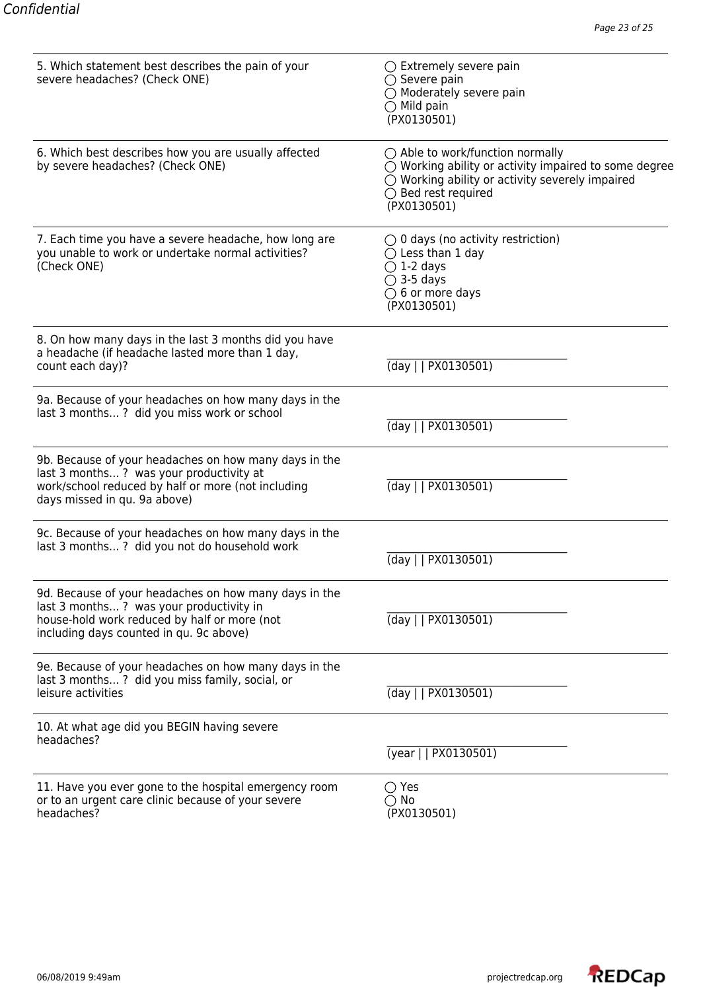| 5. Which statement best describes the pain of your<br>severe headaches? (Check ONE)                                                                                                         | $\bigcirc$ Extremely severe pain<br>$\bigcirc$ Severe pain<br>$\bigcirc$ Moderately severe pain<br>$\bigcirc$ Mild pain<br>(PX0130501)                                                                                 |
|---------------------------------------------------------------------------------------------------------------------------------------------------------------------------------------------|------------------------------------------------------------------------------------------------------------------------------------------------------------------------------------------------------------------------|
| 6. Which best describes how you are usually affected<br>by severe headaches? (Check ONE)                                                                                                    | $\bigcirc$ Able to work/function normally<br>$\bigcirc$ Working ability or activity impaired to some degree<br>$\bigcirc$ Working ability or activity severely impaired<br>$\bigcirc$ Bed rest required<br>(PX0130501) |
| 7. Each time you have a severe headache, how long are<br>you unable to work or undertake normal activities?<br>(Check ONE)                                                                  | $\bigcirc$ 0 days (no activity restriction)<br>$\bigcirc$ Less than 1 day<br>$\bigcirc$ 1-2 days<br>$\bigcirc$ 3-5 days<br>$\bigcirc$ 6 or more days<br>(PX0130501)                                                    |
| 8. On how many days in the last 3 months did you have<br>a headache (if headache lasted more than 1 day,<br>count each day)?                                                                | (day    PX0130501)                                                                                                                                                                                                     |
| 9a. Because of your headaches on how many days in the<br>last 3 months? did you miss work or school                                                                                         | (day     PX0130501)                                                                                                                                                                                                    |
| 9b. Because of your headaches on how many days in the<br>last 3 months? was your productivity at<br>work/school reduced by half or more (not including<br>days missed in qu. 9a above)      | (day     PX0130501)                                                                                                                                                                                                    |
| 9c. Because of your headaches on how many days in the<br>last 3 months? did you not do household work                                                                                       | (day     PX0130501)                                                                                                                                                                                                    |
| 9d. Because of your headaches on how many days in the<br>last 3 months? was your productivity in<br>house-hold work reduced by half or more (not<br>including days counted in qu. 9c above) | $\frac{1}{2}$ (day $\frac{1}{2}$ PX0130501)                                                                                                                                                                            |
| 9e. Because of your headaches on how many days in the<br>last 3 months? did you miss family, social, or<br>leisure activities                                                               | (day     PX0130501)                                                                                                                                                                                                    |
| 10. At what age did you BEGIN having severe<br>headaches?                                                                                                                                   | (year     PX0130501)                                                                                                                                                                                                   |
| 11. Have you ever gone to the hospital emergency room<br>or to an urgent care clinic because of your severe<br>headaches?                                                                   | $\bigcirc$ Yes<br>$\bigcirc$ No<br>(PX0130501)                                                                                                                                                                         |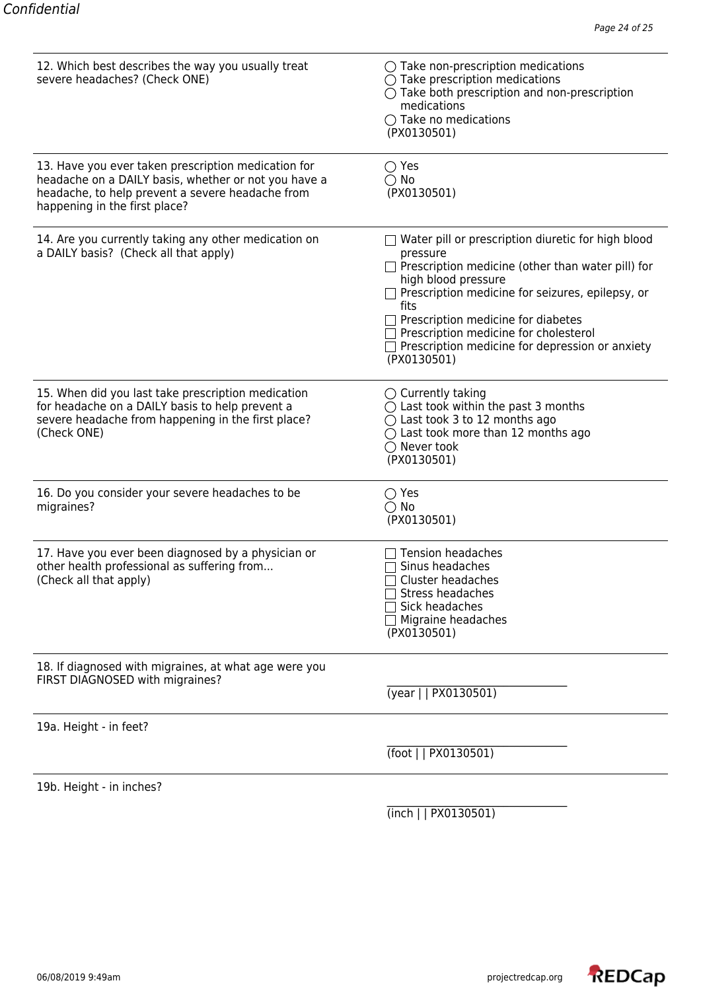| 12. Which best describes the way you usually treat<br>severe headaches? (Check ONE)                                                                                                              | $\bigcirc$ Take non-prescription medications<br>$\bigcirc$ Take prescription medications<br>$\bigcirc$ Take both prescription and non-prescription<br>medications<br>$\bigcirc$ Take no medications<br>(PX0130501)                                                                                                                                                    |
|--------------------------------------------------------------------------------------------------------------------------------------------------------------------------------------------------|-----------------------------------------------------------------------------------------------------------------------------------------------------------------------------------------------------------------------------------------------------------------------------------------------------------------------------------------------------------------------|
| 13. Have you ever taken prescription medication for<br>headache on a DAILY basis, whether or not you have a<br>headache, to help prevent a severe headache from<br>happening in the first place? | $\bigcirc$ Yes<br>$\bigcirc$ No<br>(PX0130501)                                                                                                                                                                                                                                                                                                                        |
| 14. Are you currently taking any other medication on<br>a DAILY basis? (Check all that apply)                                                                                                    | $\Box$ Water pill or prescription diuretic for high blood<br>pressure<br>Prescription medicine (other than water pill) for<br>high blood pressure<br>Prescription medicine for seizures, epilepsy, or<br>fits<br>Prescription medicine for diabetes<br>$\Box$ Prescription medicine for cholesterol<br>Prescription medicine for depression or anxiety<br>(PX0130501) |
| 15. When did you last take prescription medication<br>for headache on a DAILY basis to help prevent a<br>severe headache from happening in the first place?<br>(Check ONE)                       | $\bigcirc$ Currently taking<br>$\bigcirc$ Last took within the past 3 months<br>$\bigcirc$ Last took 3 to 12 months ago<br>$\bigcirc$ Last took more than 12 months ago<br>$\bigcirc$ Never took<br>(PX0130501)                                                                                                                                                       |
| 16. Do you consider your severe headaches to be<br>migraines?                                                                                                                                    | $\bigcirc$ Yes<br>$\bigcirc$ No<br>(PX0130501)                                                                                                                                                                                                                                                                                                                        |
| 17. Have you ever been diagnosed by a physician or<br>other health professional as suffering from<br>(Check all that apply)                                                                      | Tension headaches<br>Sinus headaches<br>Cluster headaches<br>Stress headaches<br>Sick headaches<br>Migraine headaches<br>(PX0130501)                                                                                                                                                                                                                                  |
| 18. If diagnosed with migraines, at what age were you<br>FIRST DIAGNOSED with migraines?                                                                                                         | (year     PX0130501)                                                                                                                                                                                                                                                                                                                                                  |
| 19a. Height - in feet?                                                                                                                                                                           |                                                                                                                                                                                                                                                                                                                                                                       |
|                                                                                                                                                                                                  | (foot     PX0130501)                                                                                                                                                                                                                                                                                                                                                  |
| 19b. Height - in inches?                                                                                                                                                                         |                                                                                                                                                                                                                                                                                                                                                                       |
|                                                                                                                                                                                                  | (inch    P X0130501)                                                                                                                                                                                                                                                                                                                                                  |